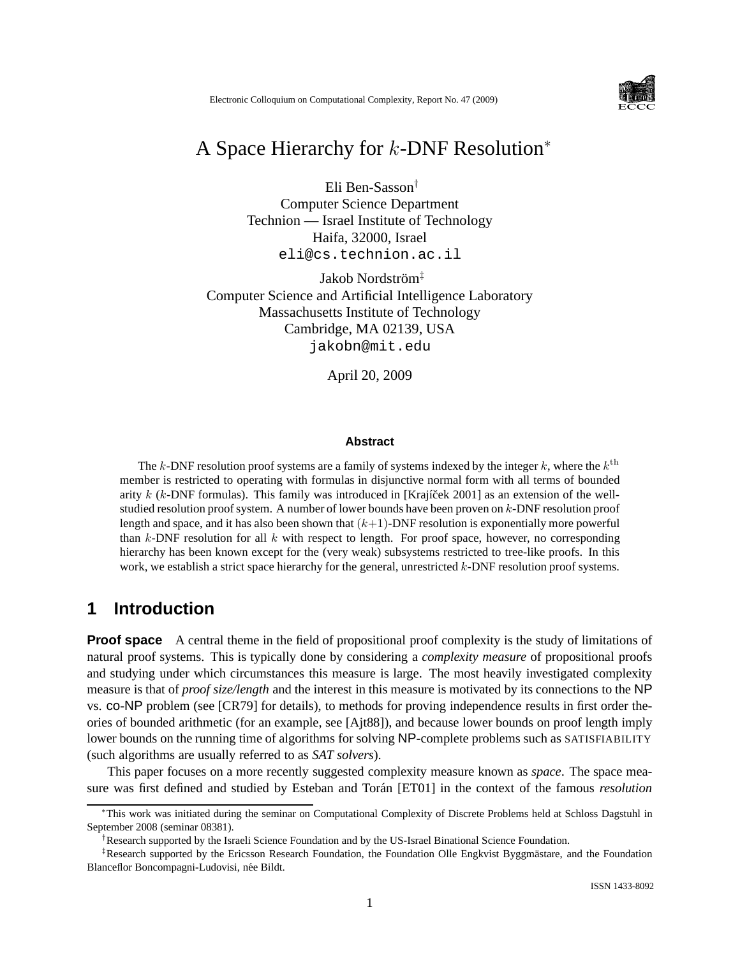

# A Space Hierarchy for k-DNF Resolution<sup>∗</sup>

Eli Ben-Sasson† Computer Science Department Technion — Israel Institute of Technology Haifa, 32000, Israel eli@cs.technion.ac.il

Jakob Nordström<sup>‡</sup> Computer Science and Artificial Intelligence Laboratory Massachusetts Institute of Technology Cambridge, MA 02139, USA jakobn@mit.edu

April 20, 2009

#### **Abstract**

The k-DNF resolution proof systems are a family of systems indexed by the integer k, where the  $k^{\text{th}}$ member is restricted to operating with formulas in disjunctive normal form with all terms of bounded arity  $k$  (k-DNF formulas). This family was introduced in [Krajíček 2001] as an extension of the wellstudied resolution proof system. A number of lower bounds have been proven on k-DNF resolution proof length and space, and it has also been shown that  $(k+1)$ -DNF resolution is exponentially more powerful than  $k$ -DNF resolution for all  $k$  with respect to length. For proof space, however, no corresponding hierarchy has been known except for the (very weak) subsystems restricted to tree-like proofs. In this work, we establish a strict space hierarchy for the general, unrestricted  $k$ -DNF resolution proof systems.

## **1 Introduction**

**Proof space** A central theme in the field of propositional proof complexity is the study of limitations of natural proof systems. This is typically done by considering a *complexity measure* of propositional proofs and studying under which circumstances this measure is large. The most heavily investigated complexity measure is that of *proof size/length* and the interest in this measure is motivated by its connections to the NP vs. co-NP problem (see [CR79] for details), to methods for proving independence results in first order theories of bounded arithmetic (for an example, see [Ajt88]), and because lower bounds on proof length imply lower bounds on the running time of algorithms for solving NP-complete problems such as SATISFIABILITY (such algorithms are usually referred to as *SAT solvers*).

This paper focuses on a more recently suggested complexity measure known as *space*. The space measure was first defined and studied by Esteban and Torán [ET01] in the context of the famous *resolution* 

<sup>∗</sup>This work was initiated during the seminar on Computational Complexity of Discrete Problems held at Schloss Dagstuhl in September 2008 (seminar 08381).

<sup>†</sup>Research supported by the Israeli Science Foundation and by the US-Israel Binational Science Foundation.

 $*$ Research supported by the Ericsson Research Foundation, the Foundation Olle Engkvist Byggmästare, and the Foundation Blanceflor Boncompagni-Ludovisi, née Bildt.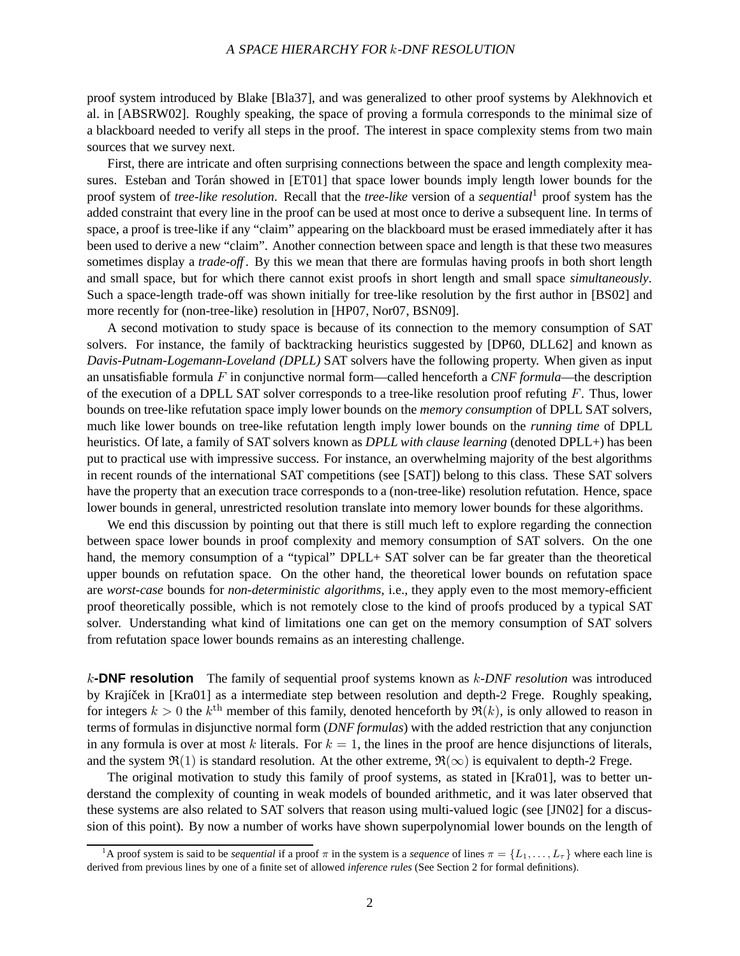#### <sup>A</sup> SPACE HIERARCHY FOR k-DNF RESOLUTION

proof system introduced by Blake [Bla37], and was generalized to other proof systems by Alekhnovich et al. in [ABSRW02]. Roughly speaking, the space of proving a formula corresponds to the minimal size of a blackboard needed to verify all steps in the proof. The interest in space complexity stems from two main sources that we survey next.

First, there are intricate and often surprising connections between the space and length complexity measures. Esteban and Torán showed in [ET01] that space lower bounds imply length lower bounds for the proof system of *tree-like resolution*. Recall that the *tree-like* version of a *sequential*<sup>1</sup> proof system has the added constraint that every line in the proof can be used at most once to derive a subsequent line. In terms of space, a proof is tree-like if any "claim" appearing on the blackboard must be erased immediately after it has been used to derive a new "claim". Another connection between space and length is that these two measures sometimes display a *trade-off* . By this we mean that there are formulas having proofs in both short length and small space, but for which there cannot exist proofs in short length and small space *simultaneously*. Such a space-length trade-off was shown initially for tree-like resolution by the first author in [BS02] and more recently for (non-tree-like) resolution in [HP07, Nor07, BSN09].

A second motivation to study space is because of its connection to the memory consumption of SAT solvers. For instance, the family of backtracking heuristics suggested by [DP60, DLL62] and known as *Davis-Putnam-Logemann-Loveland (DPLL)* SAT solvers have the following property. When given as input an unsatisfiable formula F in conjunctive normal form—called henceforth a *CNF formula*—the description of the execution of a DPLL SAT solver corresponds to a tree-like resolution proof refuting  $F$ . Thus, lower bounds on tree-like refutation space imply lower bounds on the *memory consumption* of DPLL SAT solvers, much like lower bounds on tree-like refutation length imply lower bounds on the *running time* of DPLL heuristics. Of late, a family of SAT solvers known as *DPLL with clause learning* (denoted DPLL+) has been put to practical use with impressive success. For instance, an overwhelming majority of the best algorithms in recent rounds of the international SAT competitions (see [SAT]) belong to this class. These SAT solvers have the property that an execution trace corresponds to a (non-tree-like) resolution refutation. Hence, space lower bounds in general, unrestricted resolution translate into memory lower bounds for these algorithms.

We end this discussion by pointing out that there is still much left to explore regarding the connection between space lower bounds in proof complexity and memory consumption of SAT solvers. On the one hand, the memory consumption of a "typical" DPLL+ SAT solver can be far greater than the theoretical upper bounds on refutation space. On the other hand, the theoretical lower bounds on refutation space are *worst-case* bounds for *non-deterministic algorithms*, i.e., they apply even to the most memory-efficient proof theoretically possible, which is not remotely close to the kind of proofs produced by a typical SAT solver. Understanding what kind of limitations one can get on the memory consumption of SAT solvers from refutation space lower bounds remains as an interesting challenge.

k**-DNF resolution** The family of sequential proof systems known as k*-DNF resolution* was introduced by Krajíček in [Kra01] as a intermediate step between resolution and depth-2 Frege. Roughly speaking, for integers  $k > 0$  the  $k<sup>th</sup>$  member of this family, denoted henceforth by  $\Re(k)$ , is only allowed to reason in terms of formulas in disjunctive normal form (*DNF formulas*) with the added restriction that any conjunction in any formula is over at most k literals. For  $k = 1$ , the lines in the proof are hence disjunctions of literals, and the system  $\mathfrak{R}(1)$  is standard resolution. At the other extreme,  $\mathfrak{R}(\infty)$  is equivalent to depth-2 Frege.

The original motivation to study this family of proof systems, as stated in [Kra01], was to better understand the complexity of counting in weak models of bounded arithmetic, and it was later observed that these systems are also related to SAT solvers that reason using multi-valued logic (see [JN02] for a discussion of this point). By now a number of works have shown superpolynomial lower bounds on the length of

<sup>&</sup>lt;sup>1</sup>A proof system is said to be *sequential* if a proof  $\pi$  in the system is a *sequence* of lines  $\pi = \{L_1, \ldots, L_{\tau}\}\$  where each line is derived from previous lines by one of a finite set of allowed *inference rules* (See Section 2 for formal definitions).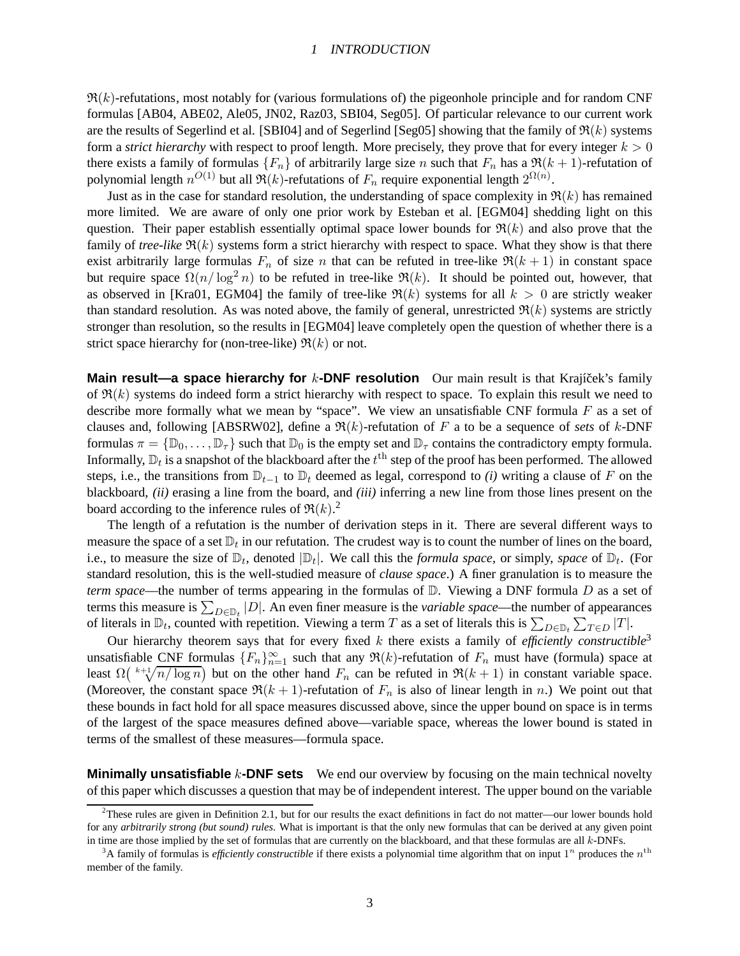#### <sup>1</sup> INTRODUCTION

 $\Re(k)$ -refutations, most notably for (various formulations of) the pigeonhole principle and for random CNF formulas [AB04, ABE02, Ale05, JN02, Raz03, SBI04, Seg05]. Of particular relevance to our current work are the results of Segerlind et al. [SBI04] and of Segerlind [Seg05] showing that the family of  $\Re(k)$  systems form a *strict hierarchy* with respect to proof length. More precisely, they prove that for every integer  $k > 0$ there exists a family of formulas  ${F_n}$  of arbitrarily large size n such that  $F_n$  has a  $\Re(k+1)$ -refutation of polynomial length  $n^{O(1)}$  but all  $\Re(k)$ -refutations of  $F_n$  require exponential length  $2^{\Omega(n)}$ .

Just as in the case for standard resolution, the understanding of space complexity in  $\Re(k)$  has remained more limited. We are aware of only one prior work by Esteban et al. [EGM04] shedding light on this question. Their paper establish essentially optimal space lower bounds for  $\Re(k)$  and also prove that the family of *tree-like*  $\Re(k)$  systems form a strict hierarchy with respect to space. What they show is that there exist arbitrarily large formulas  $F_n$  of size n that can be refuted in tree-like  $\Re(k+1)$  in constant space but require space  $\Omega(n/\log^2 n)$  to be refuted in tree-like  $\Re(k)$ . It should be pointed out, however, that as observed in [Kra01, EGM04] the family of tree-like  $\Re(k)$  systems for all  $k > 0$  are strictly weaker than standard resolution. As was noted above, the family of general, unrestricted  $\Re(k)$  systems are strictly stronger than resolution, so the results in [EGM04] leave completely open the question of whether there is a strict space hierarchy for (non-tree-like)  $\Re(k)$  or not.

**Main result—a space hierarchy for** k-DNF resolution Our main result is that Krajíček's family of  $\Re(k)$  systems do indeed form a strict hierarchy with respect to space. To explain this result we need to describe more formally what we mean by "space". We view an unsatisfiable CNF formula  $F$  as a set of clauses and, following [ABSRW02], define a  $\Re(k)$ -refutation of F a to be a sequence of *sets* of k-DNF formulas  $\pi = \{ \mathbb{D}_0, \ldots, \mathbb{D}_\tau \}$  such that  $\mathbb{D}_0$  is the empty set and  $\mathbb{D}_\tau$  contains the contradictory empty formula. Informally,  $\mathbb{D}_t$  is a snapshot of the blackboard after the  $t^{\text{th}}$  step of the proof has been performed. The allowed steps, i.e., the transitions from  $\mathbb{D}_{t-1}$  to  $\mathbb{D}_t$  deemed as legal, correspond to *(i)* writing a clause of F on the blackboard, *(ii)* erasing a line from the board, and *(iii)* inferring a new line from those lines present on the board according to the inference rules of  $\Re(k)$ .<sup>2</sup>

The length of a refutation is the number of derivation steps in it. There are several different ways to measure the space of a set  $\mathbb{D}_t$  in our refutation. The crudest way is to count the number of lines on the board, i.e., to measure the size of  $\mathbb{D}_t$ , denoted  $|\mathbb{D}_t|$ . We call this the *formula space*, or simply, *space* of  $\mathbb{D}_t$ . (For standard resolution, this is the well-studied measure of *clause space*.) A finer granulation is to measure the *term space*—the number of terms appearing in the formulas of D. Viewing a DNF formula D as a set of terms this measure is  $\sum_{D \in \mathbb{D}_t} |D|$ . An even finer measure is the *variable space*—the number of appearances of literals in  $\mathbb{D}_t$ , counted with repetition. Viewing a term T as a set of literals this is  $\sum_{D \in \mathbb{D}_t} \sum_{T \in D} |T|$ .

Our hierarchy theorem says that for every fixed k there exists a family of *efficiently constructible*<sup>3</sup> unsatisfiable CNF formulas  ${F_n}_{n=1}^{\infty}$  such that any  $\Re(k)$ -refutation of  $F_n$  must have (formula) space at least  $\Omega\left(\sqrt[k+1]{n/\log n}\right)$  but on the other hand  $F_n$  can be refuted in  $\Re(k+1)$  in constant variable space. (Moreover, the constant space  $\Re(k+1)$ -refutation of  $F_n$  is also of linear length in n.) We point out that these bounds in fact hold for all space measures discussed above, since the upper bound on space is in terms of the largest of the space measures defined above—variable space, whereas the lower bound is stated in terms of the smallest of these measures—formula space.

**Minimally unsatisfiable** k-**DNF sets** We end our overview by focusing on the main technical novelty of this paper which discusses a question that may be of independent interest. The upper bound on the variable

<sup>&</sup>lt;sup>2</sup>These rules are given in Definition 2.1, but for our results the exact definitions in fact do not matter—our lower bounds hold for any *arbitrarily strong (but sound) rules*. What is important is that the only new formulas that can be derived at any given point in time are those implied by the set of formulas that are currently on the blackboard, and that these formulas are all k-DNFs.

<sup>&</sup>lt;sup>3</sup>A family of formulas is *efficiently constructible* if there exists a polynomial time algorithm that on input  $1^n$  produces the  $n^{\text{th}}$ member of the family.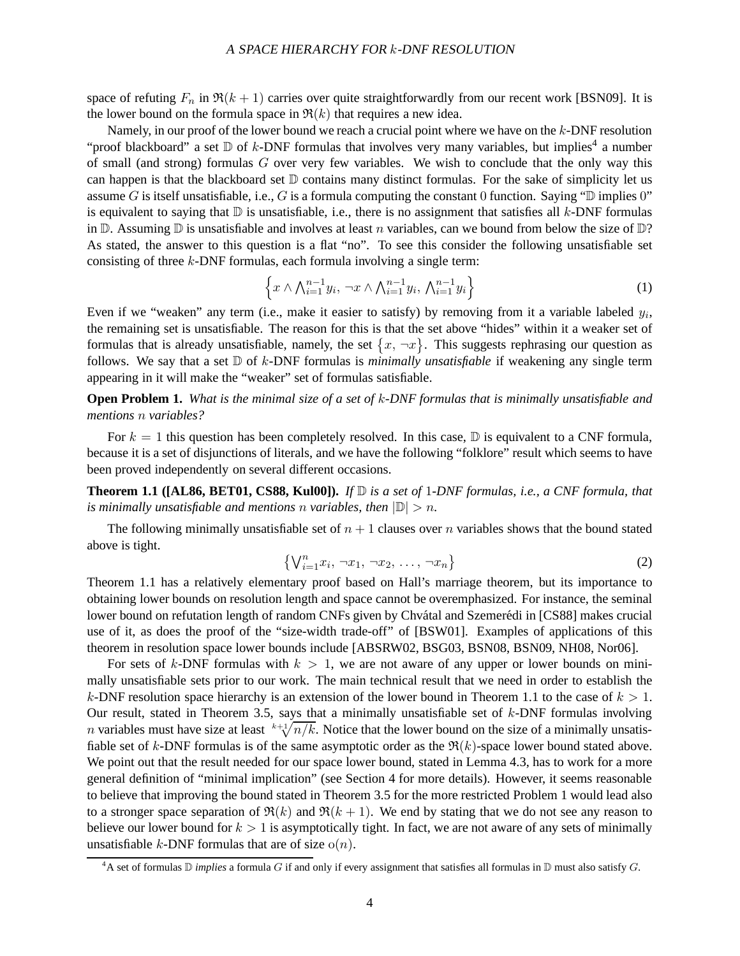space of refuting  $F_n$  in  $\Re(k+1)$  carries over quite straightforwardly from our recent work [BSN09]. It is the lower bound on the formula space in  $\Re(k)$  that requires a new idea.

Namely, in our proof of the lower bound we reach a crucial point where we have on the k-DNF resolution "proof blackboard" a set  $D$  of k-DNF formulas that involves very many variables, but implies<sup>4</sup> a number of small (and strong) formulas  $G$  over very few variables. We wish to conclude that the only way this can happen is that the blackboard set  $D$  contains many distinct formulas. For the sake of simplicity let us assume G is itself unsatisfiable, i.e., G is a formula computing the constant 0 function. Saying " $\mathbb D$  implies 0" is equivalent to saying that  $D$  is unsatisfiable, i.e., there is no assignment that satisfies all  $k$ -DNF formulas in  $\mathbb D$ . Assuming  $\mathbb D$  is unsatisfiable and involves at least n variables, can we bound from below the size of  $\mathbb D$ ? As stated, the answer to this question is a flat "no". To see this consider the following unsatisfiable set consisting of three k-DNF formulas, each formula involving a single term:

$$
\left\{x \wedge \bigwedge_{i=1}^{n-1} y_i, \neg x \wedge \bigwedge_{i=1}^{n-1} y_i, \bigwedge_{i=1}^{n-1} y_i\right\} \tag{1}
$$

Even if we "weaken" any term (i.e., make it easier to satisfy) by removing from it a variable labeled  $y_i$ , the remaining set is unsatisfiable. The reason for this is that the set above "hides" within it a weaker set of formulas that is already unsatisfiable, namely, the set  $\{x, \neg x\}$ . This suggests rephrasing our question as follows. We say that a set  $D$  of k-DNF formulas is *minimally unsatisfiable* if weakening any single term appearing in it will make the "weaker" set of formulas satisfiable.

**Open Problem 1.** *What is the minimal size of a set of* k*-DNF formulas that is minimally unsatisfiable and mentions* n *variables?*

For  $k = 1$  this question has been completely resolved. In this case,  $\mathbb{D}$  is equivalent to a CNF formula, because it is a set of disjunctions of literals, and we have the following "folklore" result which seems to have been proved independently on several different occasions.

**Theorem 1.1 ([AL86, BET01, CS88, Kul00]).** *If* D *is a set of* 1*-DNF formulas, i.e., a CNF formula, that is minimally unsatisfiable and mentions n variables, then*  $|\mathbb{D}| > n$ .

The following minimally unsatisfiable set of  $n + 1$  clauses over n variables shows that the bound stated above is tight.

$$
\left\{ \bigvee_{i=1}^{n} x_i, \neg x_1, \neg x_2, \dots, \neg x_n \right\}
$$
 (2)

Theorem 1.1 has a relatively elementary proof based on Hall's marriage theorem, but its importance to obtaining lower bounds on resolution length and space cannot be overemphasized. For instance, the seminal lower bound on refutation length of random CNFs given by Chvátal and Szemerédi in [CS88] makes crucial use of it, as does the proof of the "size-width trade-off" of [BSW01]. Examples of applications of this theorem in resolution space lower bounds include [ABSRW02, BSG03, BSN08, BSN09, NH08, Nor06].

For sets of k-DNF formulas with  $k > 1$ , we are not aware of any upper or lower bounds on minimally unsatisfiable sets prior to our work. The main technical result that we need in order to establish the k-DNF resolution space hierarchy is an extension of the lower bound in Theorem 1.1 to the case of  $k > 1$ . Our result, stated in Theorem 3.5, says that a minimally unsatisfiable set of  $k$ -DNF formulas involving *n* variables must have size at least  $k+\sqrt[n]{n/k}$ . Notice that the lower bound on the size of a minimally unsatisfiable set of k-DNF formulas is of the same asymptotic order as the  $\Re(k)$ -space lower bound stated above. We point out that the result needed for our space lower bound, stated in Lemma 4.3, has to work for a more general definition of "minimal implication" (see Section 4 for more details). However, it seems reasonable to believe that improving the bound stated in Theorem 3.5 for the more restricted Problem 1 would lead also to a stronger space separation of  $\Re(k)$  and  $\Re(k+1)$ . We end by stating that we do not see any reason to believe our lower bound for  $k > 1$  is asymptotically tight. In fact, we are not aware of any sets of minimally unsatisfiable k-DNF formulas that are of size  $o(n)$ .

<sup>&</sup>lt;sup>4</sup>A set of formulas  $\mathbb D$  *implies* a formula G if and only if every assignment that satisfies all formulas in  $\mathbb D$  must also satisfy G.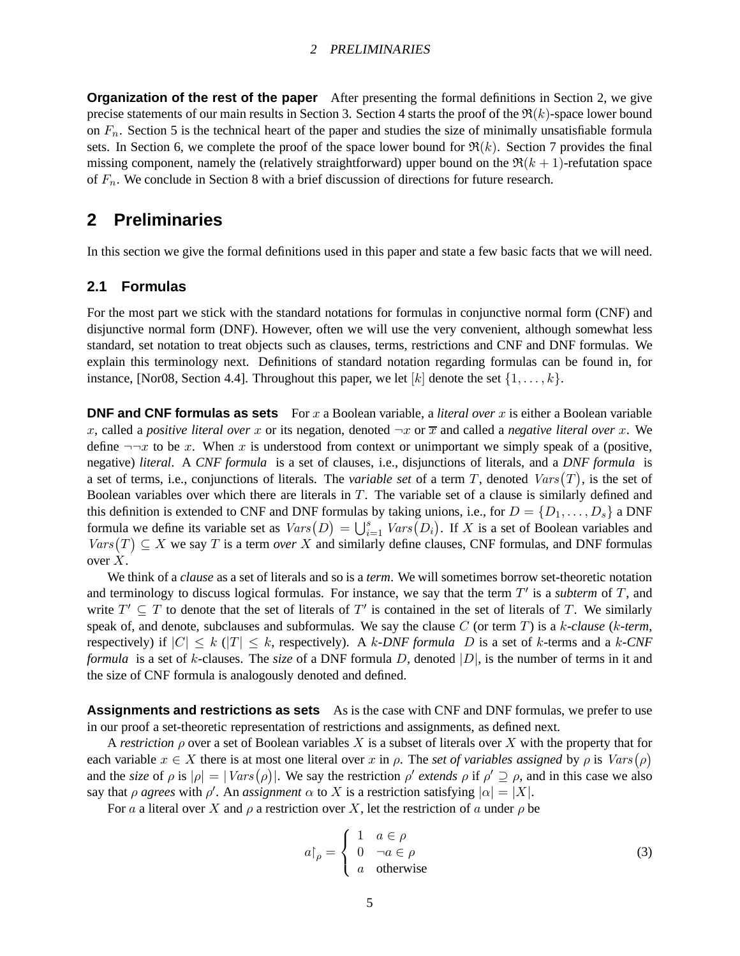#### <sup>2</sup> PRELIMINARIES

**Organization of the rest of the paper** After presenting the formal definitions in Section 2, we give precise statements of our main results in Section 3. Section 4 starts the proof of the  $\mathfrak{R}(k)$ -space lower bound on  $F_n$ . Section 5 is the technical heart of the paper and studies the size of minimally unsatisfiable formula sets. In Section 6, we complete the proof of the space lower bound for  $\Re(k)$ . Section 7 provides the final missing component, namely the (relatively straightforward) upper bound on the  $\Re(k+1)$ -refutation space of  $F_n$ . We conclude in Section 8 with a brief discussion of directions for future research.

## **2 Preliminaries**

In this section we give the formal definitions used in this paper and state a few basic facts that we will need.

### **2.1 Formulas**

For the most part we stick with the standard notations for formulas in conjunctive normal form (CNF) and disjunctive normal form (DNF). However, often we will use the very convenient, although somewhat less standard, set notation to treat objects such as clauses, terms, restrictions and CNF and DNF formulas. We explain this terminology next. Definitions of standard notation regarding formulas can be found in, for instance, [Nor08, Section 4.4]. Throughout this paper, we let  $[k]$  denote the set  $\{1, \ldots, k\}$ .

**DNF and CNF formulas as sets** For x a Boolean variable, a *literal over* x is either a Boolean variable x, called a *positive literal over* x or its negation, denoted  $\neg x$  or  $\overline{x}$  and called a *negative literal over* x. We define  $\neg\neg x$  to be x. When x is understood from context or unimportant we simply speak of a (positive, negative) *literal*. A *CNF formula* is a set of clauses, i.e., disjunctions of literals, and a *DNF formula* is a set of terms, i.e., conjunctions of literals. The *variable set* of a term T, denoted  $Vars(T)$ , is the set of Boolean variables over which there are literals in  $T$ . The variable set of a clause is similarly defined and this definition is extended to CNF and DNF formulas by taking unions, i.e., for  $D = \{D_1, \ldots, D_s\}$  a DNF formula we define its variable set as  $Vars(D) = \bigcup_{i=1}^{s} Vars(D_i)$ . If X is a set of Boolean variables and  $Vars(T) \subseteq X$  we say T is a term *over* X and similarly define clauses, CNF formulas, and DNF formulas over  $X$ .

We think of a *clause* as a set of literals and so is a *term*. We will sometimes borrow set-theoretic notation and terminology to discuss logical formulas. For instance, we say that the term  $T'$  is a *subterm* of  $T$ , and write  $T' \subseteq T$  to denote that the set of literals of  $T'$  is contained in the set of literals of T. We similarly speak of, and denote, subclauses and subformulas. We say the clause C (or term T) is a k*-clause* (k*-term*, respectively) if  $|C| \leq k$  ( $|T| \leq k$ , respectively). A k-DNF formula D is a set of k-terms and a k-CNF *formula* is a set of k-clauses. The *size* of a DNF formula D, denoted |D|, is the number of terms in it and the size of CNF formula is analogously denoted and defined.

**Assignments and restrictions as sets** As is the case with CNF and DNF formulas, we prefer to use in our proof a set-theoretic representation of restrictions and assignments, as defined next.

A *restriction*  $\rho$  over a set of Boolean variables X is a subset of literals over X with the property that for each variable  $x \in X$  there is at most one literal over x in  $\rho$ . The *set of variables assigned* by  $\rho$  is  $Vars(\rho)$ and the *size* of  $\rho$  is  $|\rho| = |Vars(\rho)|$ . We say the restriction  $\rho'$  extends  $\rho$  if  $\rho' \supseteq \rho$ , and in this case we also say that  $\rho$  *agrees* with  $\rho'$ . An *assignment*  $\alpha$  to X is a restriction satisfying  $|\alpha| = |X|$ .

For a a literal over X and  $\rho$  a restriction over X, let the restriction of a under  $\rho$  be

$$
a\upharpoonright_{\rho} = \begin{cases} 1 & a \in \rho \\ 0 & \neg a \in \rho \\ a & \text{otherwise} \end{cases}
$$
 (3)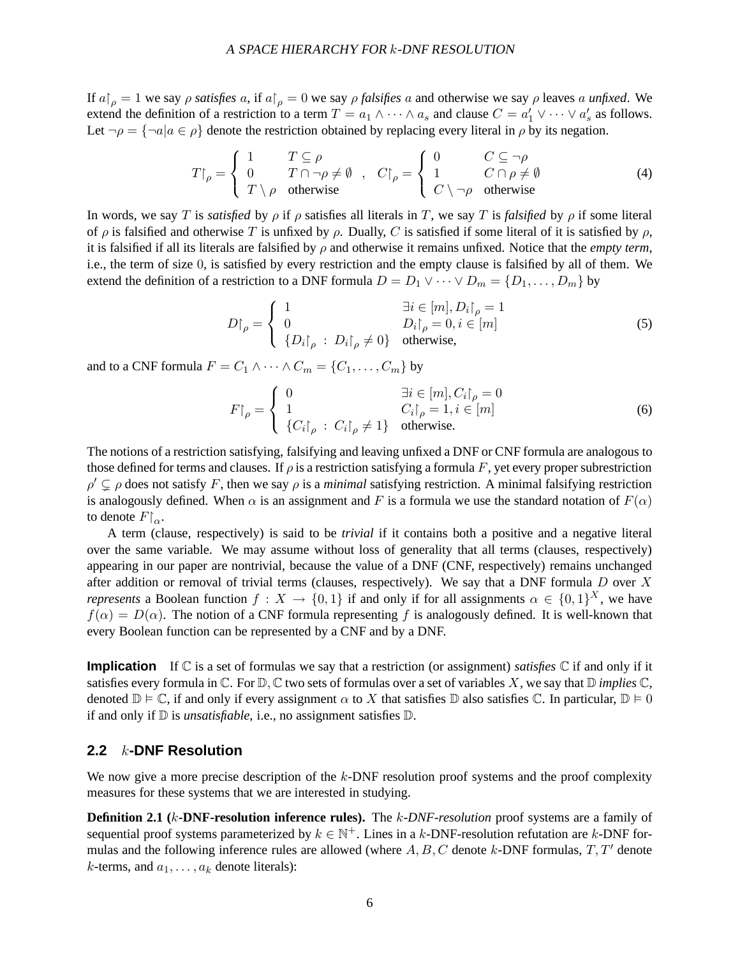If  $a|_\rho = 1$  we say  $\rho$  *satisfies*  $a$ , if  $a|_\rho = 0$  we say  $\rho$  *falsifies*  $a$  and otherwise we say  $\rho$  leaves  $a$  *unfixed*. We extend the definition of a restriction to a term  $T = a_1 \wedge \cdots \wedge a_s$  and clause  $C = a'_1 \vee \cdots \vee a'_s$  as follows. Let  $\neg \rho = {\neg a | a \in \rho}$  denote the restriction obtained by replacing every literal in  $\rho$  by its negation.

$$
T\upharpoonright_{\rho} = \begin{cases} 1 & T \subseteq \rho \\ 0 & T \cap \neg \rho \neq \emptyset \\ T \setminus \rho & \text{otherwise} \end{cases}, \quad C\upharpoonright_{\rho} = \begin{cases} 0 & C \subseteq \neg \rho \\ 1 & C \cap \rho \neq \emptyset \\ C \setminus \neg \rho & \text{otherwise} \end{cases}
$$
(4)

In words, we say T is *satisfied* by  $\rho$  if  $\rho$  satisfies all literals in T, we say T is *falsified* by  $\rho$  if some literal of  $\rho$  is falsified and otherwise T is unfixed by  $\rho$ . Dually, C is satisfied if some literal of it is satisfied by  $\rho$ , it is falsified if all its literals are falsified by  $\rho$  and otherwise it remains unfixed. Notice that the *empty term*, i.e., the term of size 0, is satisfied by every restriction and the empty clause is falsified by all of them. We extend the definition of a restriction to a DNF formula  $D = D_1 \vee \cdots \vee D_m = \{D_1, \ldots, D_m\}$  by

$$
D\upharpoonright_{\rho} = \begin{cases} 1 & \exists i \in [m], D_i\upharpoonright_{\rho} = 1 \\ 0 & D_i\upharpoonright_{\rho} = 0, i \in [m] \\ \{D_i\upharpoonright_{\rho} : D_i\upharpoonright_{\rho} \neq 0\} & \text{otherwise,} \end{cases}
$$
(5)

and to a CNF formula  $F = C_1 \wedge \cdots \wedge C_m = \{C_1, \ldots, C_m\}$  by

$$
F\upharpoonright_{\rho} = \begin{cases} 0 & \exists i \in [m], C_i\upharpoonright_{\rho} = 0 \\ 1 & C_i\upharpoonright_{\rho} = 1, i \in [m] \\ \{C_i\upharpoonright_{\rho} : C_i\upharpoonright_{\rho} \neq 1\} & \text{otherwise.} \end{cases}
$$
(6)

The notions of a restriction satisfying, falsifying and leaving unfixed a DNF or CNF formula are analogous to those defined for terms and clauses. If  $\rho$  is a restriction satisfying a formula F, yet every proper subrestriction  $\rho' \subsetneq \rho$  does not satisfy F, then we say  $\rho$  is a *minimal* satisfying restriction. A minimal falsifying restriction is analogously defined. When  $\alpha$  is an assignment and F is a formula we use the standard notation of  $F(\alpha)$ to denote  $F|_{\alpha}$ .

A term (clause, respectively) is said to be *trivial* if it contains both a positive and a negative literal over the same variable. We may assume without loss of generality that all terms (clauses, respectively) appearing in our paper are nontrivial, because the value of a DNF (CNF, respectively) remains unchanged after addition or removal of trivial terms (clauses, respectively). We say that a DNF formula  $D$  over  $X$ *represents* a Boolean function  $f: X \to \{0,1\}$  if and only if for all assignments  $\alpha \in \{0,1\}^X$ , we have  $f(\alpha) = D(\alpha)$ . The notion of a CNF formula representing f is analogously defined. It is well-known that every Boolean function can be represented by a CNF and by a DNF.

**Implication** If  $\mathbb C$  is a set of formulas we say that a restriction (or assignment) *satisfies*  $\mathbb C$  if and only if it satisfies every formula in  $\mathbb C$ . For  $\mathbb D, \mathbb C$  two sets of formulas over a set of variables X, we say that  $\mathbb D$  *implies*  $\mathbb C$ , denoted  $\mathbb{D} \models \mathbb{C}$ , if and only if every assignment  $\alpha$  to X that satisfies  $\mathbb{D}$  also satisfies  $\mathbb{C}$ . In particular,  $\mathbb{D} \models 0$ if and only if D is *unsatisfiable*, i.e., no assignment satisfies D.

### **2.2** k**-DNF Resolution**

We now give a more precise description of the  $k$ -DNF resolution proof systems and the proof complexity measures for these systems that we are interested in studying.

**Definition 2.1 (**k**-DNF-resolution inference rules).** The k*-DNF-resolution* proof systems are a family of sequential proof systems parameterized by  $k \in \mathbb{N}^+$ . Lines in a k-DNF-resolution refutation are k-DNF formulas and the following inference rules are allowed (where  $A, B, C$  denote k-DNF formulas,  $T, T'$  denote k-terms, and  $a_1, \ldots, a_k$  denote literals):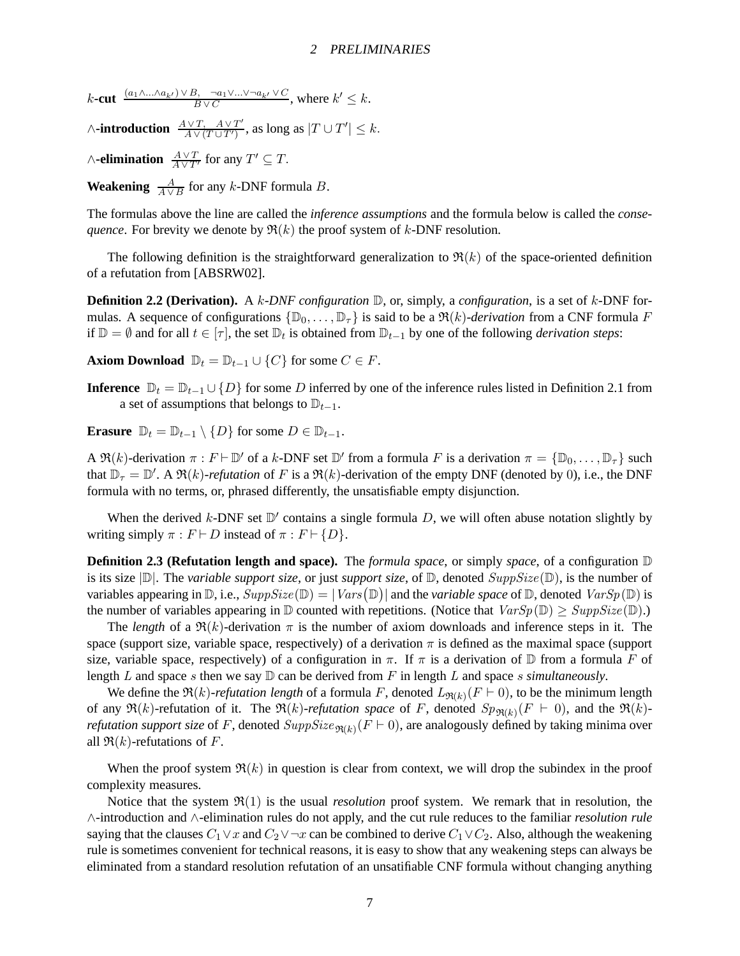$k$ **-cut**  $\frac{(a_1 \wedge ... \wedge a_{k'}) \vee B, \neg a_1 \vee ... \vee \neg a_{k'} \vee C}{B \vee C}$ , where  $k' \leq k$ .

 $\wedge$ **-introduction**  $\frac{A \vee T, A \vee T'}{A \vee (T + T')}$  $\frac{A\vee T, A\vee T'}{A\vee (T\cup T')}$ , as long as  $|T\cup T'|\leq k$ .

 $∧$ **-elimination**  $\frac{A \vee T}{A \vee T'}$  for any  $T' \subseteq T$ .

**Weakening**  $\frac{A}{A \vee B}$  for any k-DNF formula *B*.

The formulas above the line are called the *inference assumptions* and the formula below is called the *consequence*. For brevity we denote by  $\Re(k)$  the proof system of k-DNF resolution.

The following definition is the straightforward generalization to  $\Re(k)$  of the space-oriented definition of a refutation from [ABSRW02].

**Definition 2.2 (Derivation).** A k*-DNF configuration* D, or, simply, a *configuration*, is a set of k-DNF formulas. A sequence of configurations  $\{\mathbb{D}_0, \ldots, \mathbb{D}_T\}$  is said to be a  $\Re(k)$ *-derivation* from a CNF formula F if  $\mathbb{D} = \emptyset$  and for all  $t \in [\tau]$ , the set  $\mathbb{D}_t$  is obtained from  $\mathbb{D}_{t-1}$  by one of the following *derivation steps*:

**Axiom Download**  $\mathbb{D}_t = \mathbb{D}_{t-1} \cup \{C\}$  for some  $C \in F$ .

**Inference**  $\mathbb{D}_t = \mathbb{D}_{t-1} \cup \{D\}$  for some D inferred by one of the inference rules listed in Definition 2.1 from a set of assumptions that belongs to  $\mathbb{D}_{t-1}$ .

**Erasure**  $\mathbb{D}_t = \mathbb{D}_{t-1} \setminus \{D\}$  for some  $D \in \mathbb{D}_{t-1}$ .

A  $\mathfrak{R}(k)$ -derivation  $\pi : F \vdash \mathbb{D}'$  of a k-DNF set  $\mathbb{D}'$  from a formula F is a derivation  $\pi = {\mathbb{D}_0, \ldots, \mathbb{D}_\tau}$  such that  $\mathbb{D}_{\tau} = \mathbb{D}'$ . A  $\Re(k)$ -refutation of F is a  $\Re(k)$ -derivation of the empty DNF (denoted by 0), i.e., the DNF formula with no terms, or, phrased differently, the unsatisfiable empty disjunction.

When the derived  $k$ -DNF set  $\mathbb{D}'$  contains a single formula D, we will often abuse notation slightly by writing simply  $\pi : F \vdash D$  instead of  $\pi : F \vdash \{D\}.$ 

**Definition 2.3 (Refutation length and space).** The *formula space*, or simply *space*, of a configuration  $D$ is its size  $|\mathbb{D}|$ . The *variable support size*, or just *support size*, of  $\mathbb{D}$ , denoted  $SuppSize(\mathbb{D})$ , is the number of variables appearing in  $\mathbb{D}$ , i.e.,  $SuppSize(\mathbb{D}) = |Vars(\mathbb{D})|$  and the *variable space* of  $\mathbb{D}$ , denoted  $VarSp(\mathbb{D})$  is the number of variables appearing in  $\mathbb D$  counted with repetitions. (Notice that  $VarSp(\mathbb D) \geq SuppSize(\mathbb D)$ .)

The *length* of a  $\Re(k)$ -derivation  $\pi$  is the number of axiom downloads and inference steps in it. The space (support size, variable space, respectively) of a derivation  $\pi$  is defined as the maximal space (support size, variable space, respectively) of a configuration in  $\pi$ . If  $\pi$  is a derivation of  $\mathbb D$  from a formula F of length L and space s then we say  $D$  can be derived from F in length L and space s *simultaneously*.

We define the  $\Re(k)$ -refutation length of a formula F, denoted  $L_{\Re(k)}(F \vdash 0)$ , to be the minimum length of any  $\Re(k)$ -refutation of it. The  $\Re(k)$ -refutation space of F, denoted  $Sp_{\Re(k)}(F \models 0)$ , and the  $\Re(k)$ *refutation support size* of F, denoted  $SuppSize_{\Re(k)}(F \vdash 0)$ , are analogously defined by taking minima over all  $\Re(k)$ -refutations of F.

When the proof system  $\Re(k)$  in question is clear from context, we will drop the subindex in the proof complexity measures.

Notice that the system  $\mathfrak{R}(1)$  is the usual *resolution* proof system. We remark that in resolution, the ∧-introduction and ∧-elimination rules do not apply, and the cut rule reduces to the familiar *resolution rule* saying that the clauses  $C_1 \vee x$  and  $C_2 \vee \neg x$  can be combined to derive  $C_1 \vee C_2$ . Also, although the weakening rule is sometimes convenient for technical reasons, it is easy to show that any weakening steps can always be eliminated from a standard resolution refutation of an unsatifiable CNF formula without changing anything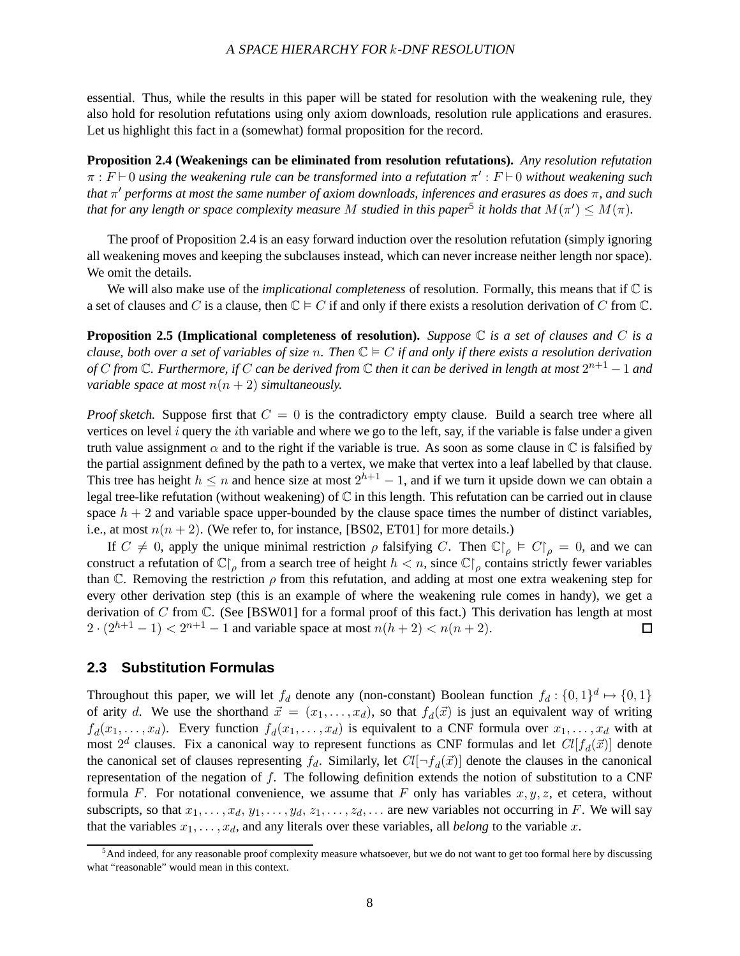#### <sup>A</sup> SPACE HIERARCHY FOR k-DNF RESOLUTION

essential. Thus, while the results in this paper will be stated for resolution with the weakening rule, they also hold for resolution refutations using only axiom downloads, resolution rule applications and erasures. Let us highlight this fact in a (somewhat) formal proposition for the record.

**Proposition 2.4 (Weakenings can be eliminated from resolution refutations).** *Any resolution refutation*  $\pi : F \vdash 0$  *using the weakening rule can be transformed into a refutation*  $\pi' : F \vdash 0$  *without weakening such that* π <sup>0</sup> *performs at most the same number of axiom downloads, inferences and erasures as does* π*, and such that for any length or space complexity measure* M *studied in this paper*<sup>5</sup> it holds that  $M(\pi') \leq M(\pi)$ .

The proof of Proposition 2.4 is an easy forward induction over the resolution refutation (simply ignoring all weakening moves and keeping the subclauses instead, which can never increase neither length nor space). We omit the details.

We will also make use of the *implicational completeness* of resolution. Formally, this means that if C is a set of clauses and C is a clause, then  $\mathbb{C} \models C$  if and only if there exists a resolution derivation of C from  $\mathbb{C}$ .

**Proposition 2.5 (Implicational completeness of resolution).** *Suppose* C *is a set of clauses and* C *is a clause, both over a set of variables of size* n. Then  $\mathbb{C} \models C$  *if and only if there exists a resolution derivation* of  $C$  from  $\mathbb C.$  Furthermore, if  $C$  can be derived from  $\mathbb C$  then it can be derived in length at most  $2^{n+1}-1$  and *variable space at most*  $n(n + 2)$  *simultaneously.* 

*Proof sketch.* Suppose first that  $C = 0$  is the contradictory empty clause. Build a search tree where all vertices on level  $i$  query the *i*th variable and where we go to the left, say, if the variable is false under a given truth value assignment  $\alpha$  and to the right if the variable is true. As soon as some clause in  $\mathbb C$  is falsified by the partial assignment defined by the path to a vertex, we make that vertex into a leaf labelled by that clause. This tree has height  $h \le n$  and hence size at most  $2^{h+1} - 1$ , and if we turn it upside down we can obtain a legal tree-like refutation (without weakening) of C in this length. This refutation can be carried out in clause space  $h + 2$  and variable space upper-bounded by the clause space times the number of distinct variables, i.e., at most  $n(n+2)$ . (We refer to, for instance, [BS02, ET01] for more details.)

If  $C \neq 0$ , apply the unique minimal restriction  $\rho$  falsifying C. Then  $\mathbb{C}|_{\rho} \models C|_{\rho} = 0$ , and we can construct a refutation of  $\mathbb{C}|_{\rho}$  from a search tree of height  $h < n$ , since  $\mathbb{C}|_{\rho}$  contains strictly fewer variables than C. Removing the restriction  $\rho$  from this refutation, and adding at most one extra weakening step for every other derivation step (this is an example of where the weakening rule comes in handy), we get a derivation of C from C. (See [BSW01] for a formal proof of this fact.) This derivation has length at most  $2 \cdot (2^{h+1} - 1) < 2^{n+1} - 1$  and variable space at most  $n(h+2) < n(h+2)$ .  $\Box$ 

### **2.3 Substitution Formulas**

Throughout this paper, we will let  $f_d$  denote any (non-constant) Boolean function  $f_d: \{0,1\}^d \mapsto \{0,1\}$ of arity d. We use the shorthand  $\vec{x} = (x_1, \ldots, x_d)$ , so that  $f_d(\vec{x})$  is just an equivalent way of writing  $f_d(x_1,\ldots,x_d)$ . Every function  $f_d(x_1,\ldots,x_d)$  is equivalent to a CNF formula over  $x_1,\ldots,x_d$  with at most  $2^d$  clauses. Fix a canonical way to represent functions as CNF formulas and let  $Cl[f_d(\vec{x})]$  denote the canonical set of clauses representing  $f_d$ . Similarly, let  $Cl[\neg f_d(\vec{x})]$  denote the clauses in the canonical representation of the negation of f. The following definition extends the notion of substitution to a CNF formula F. For notational convenience, we assume that F only has variables  $x, y, z$ , et cetera, without subscripts, so that  $x_1, \ldots, x_d, y_1, \ldots, y_d, z_1, \ldots, z_d, \ldots$  are new variables not occurring in F. We will say that the variables  $x_1, \ldots, x_d$ , and any literals over these variables, all *belong* to the variable x.

<sup>&</sup>lt;sup>5</sup>And indeed, for any reasonable proof complexity measure whatsoever, but we do not want to get too formal here by discussing what "reasonable" would mean in this context.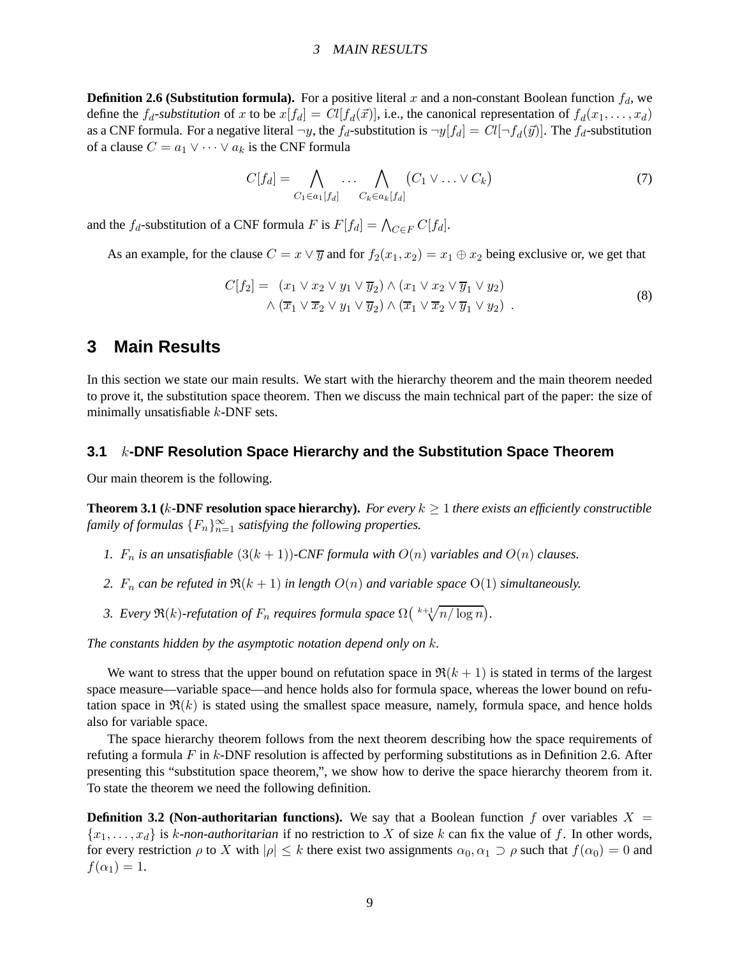#### <sup>3</sup> MAIN RESULTS

**Definition 2.6 (Substitution formula).** For a positive literal x and a non-constant Boolean function  $f_d$ , we define the  $f_d$ -substitution of x to be  $x[f_d] = Cl[f_d(\vec{x})]$ , i.e., the canonical representation of  $f_d(x_1, \ldots, x_d)$ as a CNF formula. For a negative literal  $\neg y$ , the  $f_d$ -substitution is  $\neg y[f_d] = Cl[\neg f_d(\vec{y})]$ . The  $f_d$ -substitution of a clause  $C = a_1 \vee \cdots \vee a_k$  is the CNF formula

$$
C[f_d] = \bigwedge_{C_1 \in a_1[f_d]} \cdots \bigwedge_{C_k \in a_k[f_d]} (C_1 \vee \cdots \vee C_k)
$$
 (7)

and the  $f_d$ -substitution of a CNF formula F is  $F[f_d] = \bigwedge_{C \in F} C[f_d]$ .

As an example, for the clause  $C = x \vee \overline{y}$  and for  $f_2(x_1, x_2) = x_1 \oplus x_2$  being exclusive or, we get that

$$
C[f_2] = (x_1 \vee x_2 \vee y_1 \vee \overline{y}_2) \wedge (x_1 \vee x_2 \vee \overline{y}_1 \vee y_2)
$$
  
 
$$
\wedge (\overline{x}_1 \vee \overline{x}_2 \vee y_1 \vee \overline{y}_2) \wedge (\overline{x}_1 \vee \overline{x}_2 \vee \overline{y}_1 \vee y_2).
$$
 (8)

## **3 Main Results**

In this section we state our main results. We start with the hierarchy theorem and the main theorem needed to prove it, the substitution space theorem. Then we discuss the main technical part of the paper: the size of minimally unsatisfiable k-DNF sets.

### **3.1** k**-DNF Resolution Space Hierarchy and the Substitution Space Theorem**

Our main theorem is the following.

**Theorem 3.1 (** $k$ **-DNF resolution space hierarchy).** *For every*  $k \geq 1$  *there exists an efficiently constructible family of formulas*  ${F_n}_{n=1}^{\infty}$  *satisfying the following properties.* 

- *1.*  $F_n$  *is an unsatisfiable*  $(3(k+1))$ *-CNF formula with*  $O(n)$  *variables and*  $O(n)$  *clauses.*
- 2.  $F_n$  *can be refuted in*  $\Re(k+1)$  *in length*  $O(n)$  *and variable space*  $O(1)$  *simultaneously.*
- 3. Every  $\Re(k)$ -refutation of  $F_n$  requires formula space  $\Omega\left(\sqrt[k+1]{n/\log n}\right)$ .

*The constants hidden by the asymptotic notation depend only on* k*.*

We want to stress that the upper bound on refutation space in  $\Re(k+1)$  is stated in terms of the largest space measure—variable space—and hence holds also for formula space, whereas the lower bound on refutation space in  $\Re(k)$  is stated using the smallest space measure, namely, formula space, and hence holds also for variable space.

The space hierarchy theorem follows from the next theorem describing how the space requirements of refuting a formula  $F$  in  $k$ -DNF resolution is affected by performing substitutions as in Definition 2.6. After presenting this "substitution space theorem,", we show how to derive the space hierarchy theorem from it. To state the theorem we need the following definition.

**Definition 3.2 (Non-authoritarian functions).** We say that a Boolean function f over variables  $X =$  ${x_1, \ldots, x_d}$  is k-non-authoritarian if no restriction to X of size k can fix the value of f. In other words, for every restriction  $\rho$  to X with  $|\rho| \leq k$  there exist two assignments  $\alpha_0, \alpha_1 \supset \rho$  such that  $f(\alpha_0) = 0$  and  $f(\alpha_1)=1.$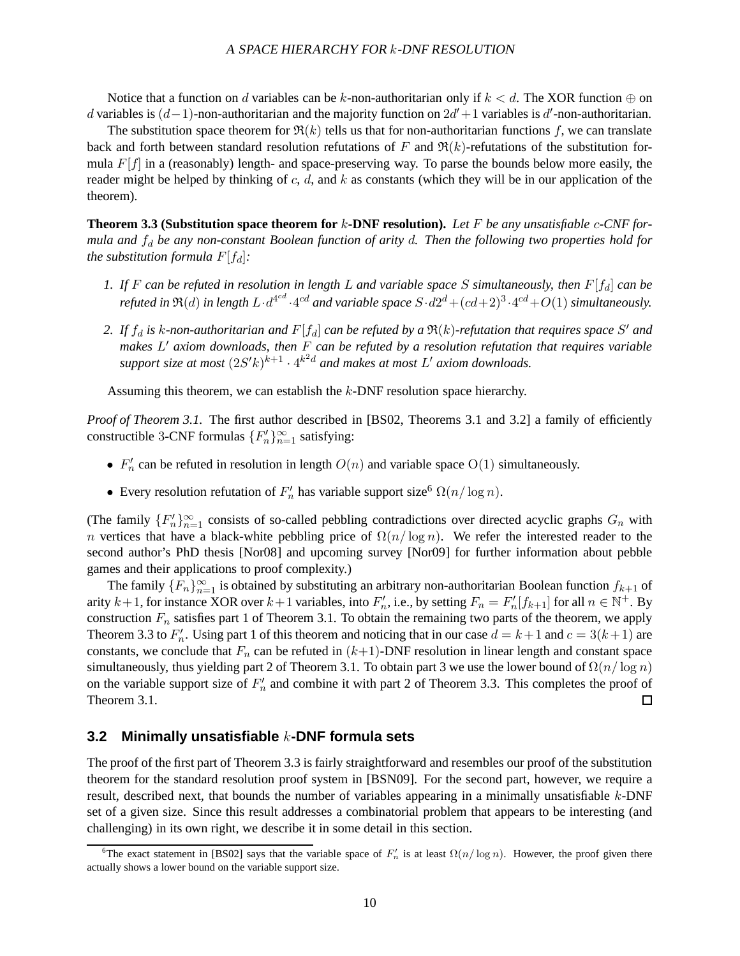Notice that a function on d variables can be k-non-authoritarian only if  $k < d$ . The XOR function  $\oplus$  on d variables is  $(d-1)$ -non-authoritarian and the majority function on  $2d' + 1$  variables is d'-non-authoritarian.

The substitution space theorem for  $\Re(k)$  tells us that for non-authoritarian functions f, we can translate back and forth between standard resolution refutations of F and  $\Re(k)$ -refutations of the substitution formula  $F[f]$  in a (reasonably) length- and space-preserving way. To parse the bounds below more easily, the reader might be helped by thinking of  $c$ ,  $d$ , and  $k$  as constants (which they will be in our application of the theorem).

**Theorem 3.3 (Substitution space theorem for** k**-DNF resolution).** *Let* F *be any unsatisfiable* c*-CNF formula and*  $f_d$  *be any non-constant Boolean function of arity d. Then the following two properties hold for the substitution formula*  $F[f_d]$ :

- *1. If*  $F$  *can be refuted in resolution in length*  $L$  *and variable space*  $S$  *simultaneously, then*  $F[f_d]$  *can be* refuted in  $\mathfrak{R}(d)$  in length  $L\cdot d^{4^{cd}}\cdot 4^{cd}$  and variable space  $S\cdot d2^d + (cd+2)^3\cdot 4^{cd} + O(1)$  simultaneously.
- 2. If  $f_d$  is k-non-authoritarian and  $F[f_d]$  can be refuted by a  $\Re(k)$ -refutation that requires space S' and *makes* L <sup>0</sup> *axiom downloads, then* F *can be refuted by a resolution refutation that requires variable* support size at most  $(2S'k)^{k+1} \cdot 4^{k^2d}$  and makes at most  $L'$  axiom downloads.

Assuming this theorem, we can establish the k-DNF resolution space hierarchy.

*Proof of Theorem 3.1.* The first author described in [BS02, Theorems 3.1 and 3.2] a family of efficiently constructible 3-CNF formulas  $\{F'_n\}_{n=1}^{\infty}$  satisfying:

- $F'_n$  can be refuted in resolution in length  $O(n)$  and variable space  $O(1)$  simultaneously.
- Every resolution refutation of  $F'_n$  has variable support size<sup>6</sup>  $\Omega(n/\log n)$ .

(The family  ${F_n' \}_{n=1}^{\infty}$  consists of so-called pebbling contradictions over directed acyclic graphs  $G_n$  with n vertices that have a black-white pebbling price of  $\Omega(n/\log n)$ . We refer the interested reader to the second author's PhD thesis [Nor08] and upcoming survey [Nor09] for further information about pebble games and their applications to proof complexity.)

The family  $\{F_n\}_{n=1}^{\infty}$  is obtained by substituting an arbitrary non-authoritarian Boolean function  $f_{k+1}$  of arity  $k+1$ , for instance XOR over  $k+1$  variables, into  $F'_n$ , i.e., by setting  $F_n = F'_n[f_{k+1}]$  for all  $n \in \mathbb{N}^+$ . By construction  $F_n$  satisfies part 1 of Theorem 3.1. To obtain the remaining two parts of the theorem, we apply Theorem 3.3 to  $F'_n$ . Using part 1 of this theorem and noticing that in our case  $d = k + 1$  and  $c = 3(k+1)$  are constants, we conclude that  $F_n$  can be refuted in  $(k+1)$ -DNF resolution in linear length and constant space simultaneously, thus yielding part 2 of Theorem 3.1. To obtain part 3 we use the lower bound of  $\Omega(n/\log n)$ on the variable support size of  $F'_n$  and combine it with part 2 of Theorem 3.3. This completes the proof of Theorem 3.1. 囗

### **3.2 Minimally unsatisfiable** k**-DNF formula sets**

The proof of the first part of Theorem 3.3 is fairly straightforward and resembles our proof of the substitution theorem for the standard resolution proof system in [BSN09]. For the second part, however, we require a result, described next, that bounds the number of variables appearing in a minimally unsatisfiable k-DNF set of a given size. Since this result addresses a combinatorial problem that appears to be interesting (and challenging) in its own right, we describe it in some detail in this section.

<sup>&</sup>lt;sup>6</sup>The exact statement in [BS02] says that the variable space of  $F'_n$  is at least  $\Omega(n/\log n)$ . However, the proof given there actually shows a lower bound on the variable support size.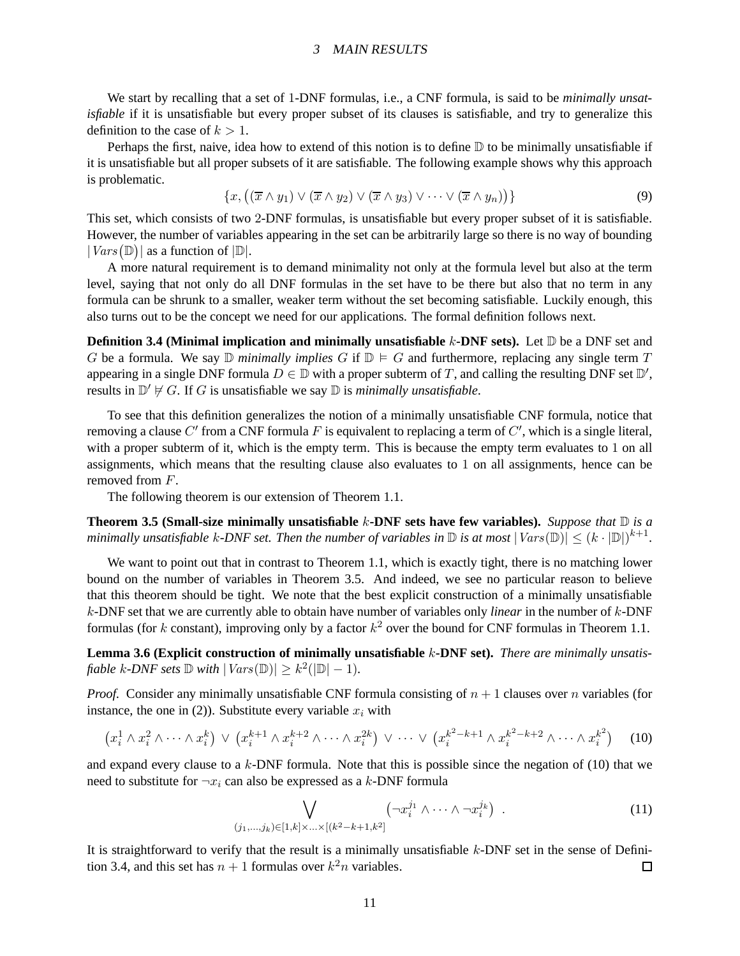#### <sup>3</sup> MAIN RESULTS

We start by recalling that a set of 1-DNF formulas, i.e., a CNF formula, is said to be *minimally unsatisfiable* if it is unsatisfiable but every proper subset of its clauses is satisfiable, and try to generalize this definition to the case of  $k > 1$ .

Perhaps the first, naive, idea how to extend of this notion is to define  $D$  to be minimally unsatisfiable if it is unsatisfiable but all proper subsets of it are satisfiable. The following example shows why this approach is problematic.

$$
\{x, ((\overline{x} \wedge y_1) \vee (\overline{x} \wedge y_2) \vee (\overline{x} \wedge y_3) \vee \cdots \vee (\overline{x} \wedge y_n))\}\
$$
\n(9)

This set, which consists of two 2-DNF formulas, is unsatisfiable but every proper subset of it is satisfiable. However, the number of variables appearing in the set can be arbitrarily large so there is no way of bounding  $|Vars(\mathbb{D})|$  as a function of  $|\mathbb{D}|$ .

A more natural requirement is to demand minimality not only at the formula level but also at the term level, saying that not only do all DNF formulas in the set have to be there but also that no term in any formula can be shrunk to a smaller, weaker term without the set becoming satisfiable. Luckily enough, this also turns out to be the concept we need for our applications. The formal definition follows next.

**Definition 3.4 (Minimal implication and minimally unsatisfiable k-DNF sets).** Let  $\mathbb{D}$  be a DNF set and G be a formula. We say  $\mathbb D$  *minimally implies* G if  $\mathbb D \models G$  and furthermore, replacing any single term T appearing in a single DNF formula  $D \in \mathbb{D}$  with a proper subterm of T, and calling the resulting DNF set  $\mathbb{D}'$ , results in  $\mathbb{D}' \not\models G$ . If G is unsatisfiable we say  $\mathbb D$  is *minimally unsatisfiable*.

To see that this definition generalizes the notion of a minimally unsatisfiable CNF formula, notice that removing a clause  $C'$  from a CNF formula F is equivalent to replacing a term of  $C'$ , which is a single literal, with a proper subterm of it, which is the empty term. This is because the empty term evaluates to 1 on all assignments, which means that the resulting clause also evaluates to 1 on all assignments, hence can be removed from F.

The following theorem is our extension of Theorem 1.1.

**Theorem 3.5 (Small-size minimally unsatisfiable** k**-DNF sets have few variables).** *Suppose that* D *is a* minimally unsatisfiable  $k$ -DNF set. Then the number of variables in  $\mathbb D$  is at most  $|\mathit{Vars}(\mathbb D)| \leq (k \cdot |\mathbb D|)^{k+1}.$ 

We want to point out that in contrast to Theorem 1.1, which is exactly tight, there is no matching lower bound on the number of variables in Theorem 3.5. And indeed, we see no particular reason to believe that this theorem should be tight. We note that the best explicit construction of a minimally unsatisfiable k-DNF set that we are currently able to obtain have number of variables only *linear* in the number of k-DNF formulas (for k constant), improving only by a factor  $k^2$  over the bound for CNF formulas in Theorem 1.1.

**Lemma 3.6 (Explicit construction of minimally unsatisfiable** k**-DNF set).** *There are minimally unsatisfiable*  $k$ -*DNF* sets  $\mathbb{D}$  *with*  $|Vars(\mathbb{D})| \geq k^2(|\mathbb{D}|-1)$ *.* 

*Proof.* Consider any minimally unsatisfiable CNF formula consisting of  $n + 1$  clauses over n variables (for instance, the one in (2)). Substitute every variable  $x_i$  with

$$
(x_i^1 \wedge x_i^2 \wedge \cdots \wedge x_i^k) \vee (x_i^{k+1} \wedge x_i^{k+2} \wedge \cdots \wedge x_i^{2k}) \vee \cdots \vee (x_i^{k^2-k+1} \wedge x_i^{k^2-k+2} \wedge \cdots \wedge x_i^{k^2}) \qquad (10)
$$

and expand every clause to a  $k$ -DNF formula. Note that this is possible since the negation of (10) that we need to substitute for  $\neg x_i$  can also be expressed as a k-DNF formula

$$
\bigvee_{(j_1,\ldots,j_k)\in[1,k]\times\ldots\times[(k^2-k+1,k^2]} \left(\neg x_i^{j_1}\wedge\cdots\wedge\neg x_i^{j_k}\right) \ . \tag{11}
$$

It is straightforward to verify that the result is a minimally unsatisfiable k-DNF set in the sense of Definition 3.4, and this set has  $n + 1$  formulas over  $k^2n$  variables.  $\Box$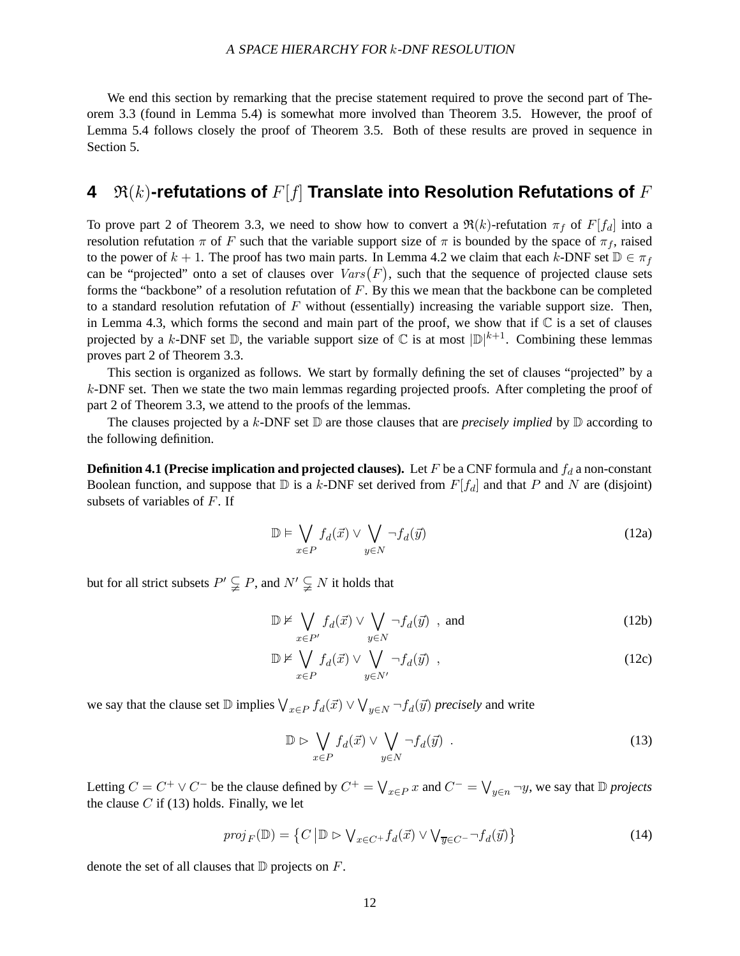#### <sup>A</sup> SPACE HIERARCHY FOR k-DNF RESOLUTION

We end this section by remarking that the precise statement required to prove the second part of Theorem 3.3 (found in Lemma 5.4) is somewhat more involved than Theorem 3.5. However, the proof of Lemma 5.4 follows closely the proof of Theorem 3.5. Both of these results are proved in sequence in Section 5.

## **4**  $\mathfrak{R}(k)$ -refutations of  $F[f]$  Translate into Resolution Refutations of  $F$

To prove part 2 of Theorem 3.3, we need to show how to convert a  $\Re(k)$ -refutation  $\pi_f$  of  $F[f_d]$  into a resolution refutation  $\pi$  of F such that the variable support size of  $\pi$  is bounded by the space of  $\pi_f$ , raised to the power of  $k + 1$ . The proof has two main parts. In Lemma 4.2 we claim that each k-DNF set  $\mathbb{D} \in \pi_f$ can be "projected" onto a set of clauses over  $Vars(F)$ , such that the sequence of projected clause sets forms the "backbone" of a resolution refutation of F. By this we mean that the backbone can be completed to a standard resolution refutation of  $F$  without (essentially) increasing the variable support size. Then, in Lemma 4.3, which forms the second and main part of the proof, we show that if  $\mathbb C$  is a set of clauses projected by a k-DNF set  $\mathbb D$ , the variable support size of  $\mathbb C$  is at most  $|\mathbb D|^{k+1}$ . Combining these lemmas proves part 2 of Theorem 3.3.

This section is organized as follows. We start by formally defining the set of clauses "projected" by a k-DNF set. Then we state the two main lemmas regarding projected proofs. After completing the proof of part 2 of Theorem 3.3, we attend to the proofs of the lemmas.

The clauses projected by a k-DNF set  $\mathbb D$  are those clauses that are *precisely implied* by  $\mathbb D$  according to the following definition.

**Definition 4.1 (Precise implication and projected clauses).** Let  $F$  be a CNF formula and  $f_d$  a non-constant Boolean function, and suppose that  $D$  is a k-DNF set derived from  $F[f_d]$  and that P and N are (disjoint) subsets of variables of  $F$ . If

$$
\mathbb{D} \models \bigvee_{x \in P} f_d(\vec{x}) \lor \bigvee_{y \in N} \neg f_d(\vec{y})
$$
\n(12a)

but for all strict subsets  $P' \subsetneq P$ , and  $N' \subsetneq N$  it holds that

$$
\mathbb{D} \nvDash \bigvee_{x \in P'} f_d(\vec{x}) \vee \bigvee_{y \in N} \neg f_d(\vec{y}) , \text{ and} \tag{12b}
$$

$$
\mathbb{D} \nvDash \bigvee_{x \in P} f_d(\vec{x}) \vee \bigvee_{y \in N'} \neg f_d(\vec{y}) ,
$$
\n(12c)

we say that the clause set  $D$  implies  $\bigvee_{x \in P} f_d(\vec{x}) \vee \bigvee_{y \in N} \neg f_d(\vec{y})$  *precisely* and write

$$
\mathbb{D} \triangleright \bigvee_{x \in P} f_d(\vec{x}) \vee \bigvee_{y \in N} \neg f_d(\vec{y}) \ . \tag{13}
$$

Letting  $C = C^+ \vee C^-$  be the clause defined by  $C^+ = \bigvee_{x \in P} x$  and  $C^- = \bigvee_{y \in n} \neg y$ , we say that  $D$  *projects* the clause  $C$  if (13) holds. Finally, we let

$$
proj_F(\mathbb{D}) = \left\{ C \left| \mathbb{D} \right| D \left| \sum_{x \in C^+} f_d(\vec{x}) \vee \bigvee_{\overline{y} \in C^-} \neg f_d(\vec{y}) \right\} \right\} \tag{14}
$$

denote the set of all clauses that  $D$  projects on  $F$ .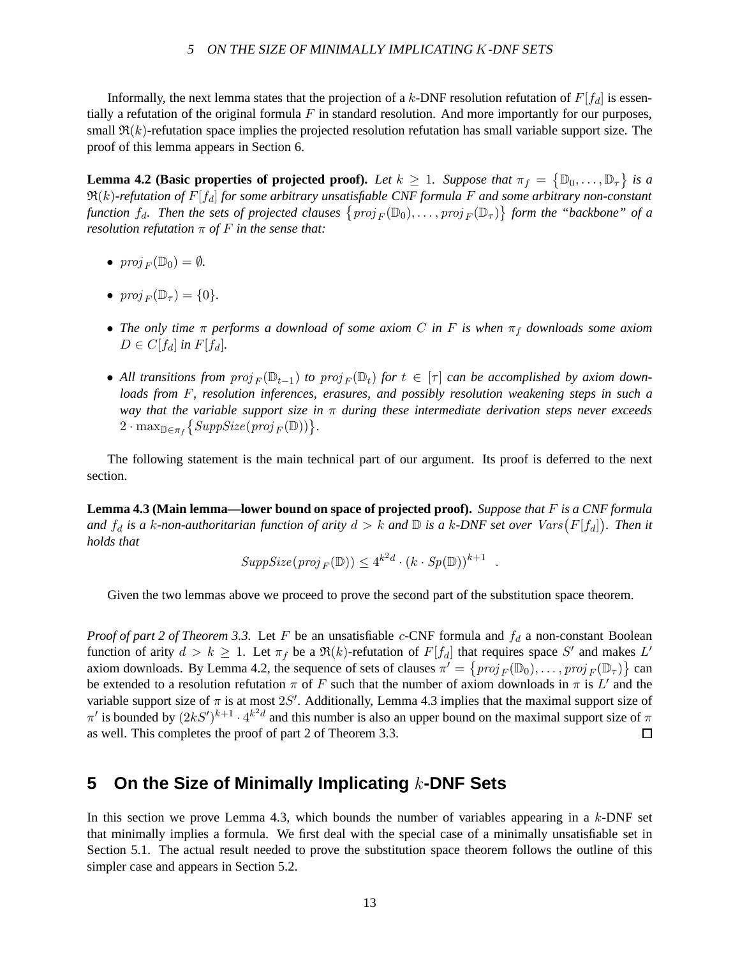Informally, the next lemma states that the projection of a k-DNF resolution refutation of  $F[f_d]$  is essentially a refutation of the original formula  $F$  in standard resolution. And more importantly for our purposes, small  $\mathfrak{R}(k)$ -refutation space implies the projected resolution refutation has small variable support size. The proof of this lemma appears in Section 6.

**Lemma 4.2 (Basic properties of projected proof).** Let  $k \ge 1$ . Suppose that  $\pi_f = \{ \mathbb{D}_0, \ldots, \mathbb{D}_\tau \}$  is a  $\Re(k)$ -refutation of  $F[f_d]$  *for some arbitrary unsatisfiable CNF formula* F and some arbitrary non-constant function  $f_d$ . Then the sets of projected clauses  $\{proj_F(\mathbb{D}_0),\ldots,proj_F(\mathbb{D}_\tau)\}$  form the "backbone" of a *resolution refutation*  $\pi$  *of*  $F$  *in the sense that:* 

- $proj_F(\mathbb{D}_0) = \emptyset$ .
- $proj_F(\mathbb{D}_\tau) = \{0\}.$
- The only time  $\pi$  performs a download of some axiom C in F is when  $\pi_f$  downloads some axiom  $D \in C[f_d]$  *in*  $F[f_d]$ *.*
- All transitions from  $proj_F(\mathbb{D}_{t-1})$  to  $proj_F(\mathbb{D}_t)$  for  $t \in [\tau]$  can be accomplished by axiom down*loads from* F*, resolution inferences, erasures, and possibly resolution weakening steps in such a way that the variable support size in* π *during these intermediate derivation steps never exceeds*  $2 \cdot \max_{\mathbb{D} \in \pi_f} \left\{ SuppSize(proj_F(\mathbb{D})) \right\}.$

The following statement is the main technical part of our argument. Its proof is deferred to the next section.

**Lemma 4.3 (Main lemma—lower bound on space of projected proof).** *Suppose that* F *is a CNF formula* and  $f_d$  is a k-non-authoritarian function of arity  $d > k$  and  $\mathbb D$  is a k-DNF set over  $\mathit{Vars}\big(F[f_d]\big)$ . Then it *holds that*

$$
SuppSize(proj_F(\mathbb{D})) \leq 4^{k^2d} \cdot (k \cdot Sp(\mathbb{D}))^{k+1} .
$$

Given the two lemmas above we proceed to prove the second part of the substitution space theorem.

*Proof of part 2 of Theorem 3.3.* Let F be an unsatisfiable c-CNF formula and  $f_d$  a non-constant Boolean function of arity  $d > k \ge 1$ . Let  $\pi_f$  be a  $\Re(k)$ -refutation of  $F[f_d]$  that requires space S' and makes L' axiom downloads. By Lemma 4.2, the sequence of sets of clauses  $\pi' = \{proj_F(\mathbb{D}_0), \dots, proj_F(\mathbb{D}_\tau)\}\)$  can be extended to a resolution refutation  $\pi$  of F such that the number of axiom downloads in  $\pi$  is L' and the variable support size of  $\pi$  is at most  $2S'$ . Additionally, Lemma 4.3 implies that the maximal support size of  $\pi'$  is bounded by  $(2kS')^{k+1} \cdot 4^{k^2d}$  and this number is also an upper bound on the maximal support size of  $\pi$ as well. This completes the proof of part 2 of Theorem 3.3.  $\Box$ 

## **5 On the Size of Minimally Implicating** k**-DNF Sets**

In this section we prove Lemma 4.3, which bounds the number of variables appearing in a  $k$ -DNF set that minimally implies a formula. We first deal with the special case of a minimally unsatisfiable set in Section 5.1. The actual result needed to prove the substitution space theorem follows the outline of this simpler case and appears in Section 5.2.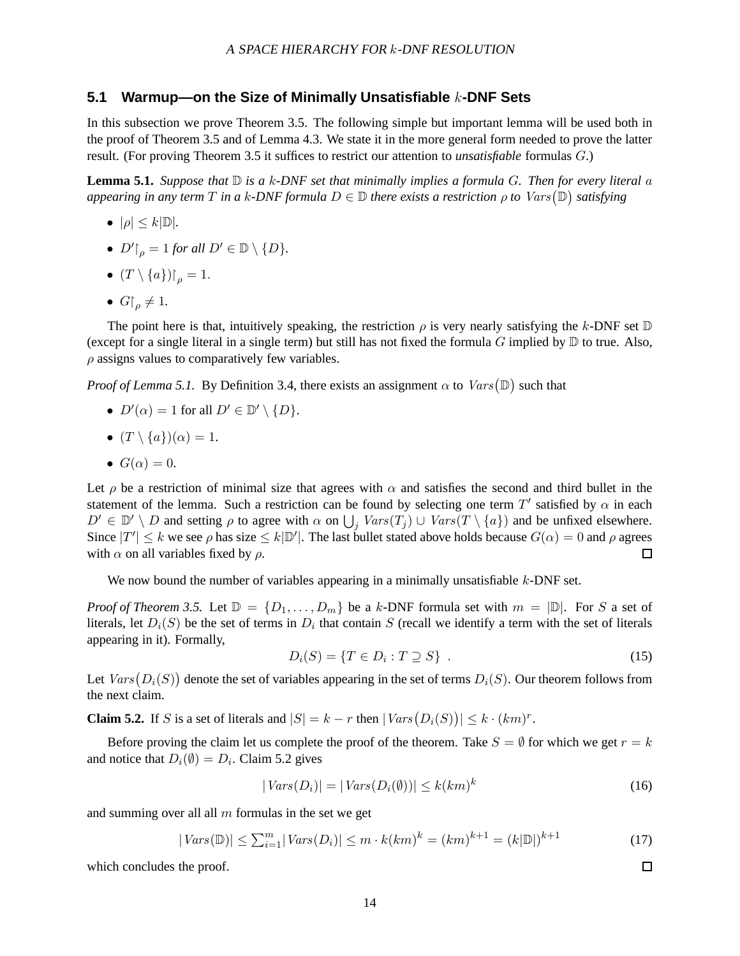### **5.1 Warmup—on the Size of Minimally Unsatisfiable** k**-DNF Sets**

In this subsection we prove Theorem 3.5. The following simple but important lemma will be used both in the proof of Theorem 3.5 and of Lemma 4.3. We state it in the more general form needed to prove the latter result. (For proving Theorem 3.5 it suffices to restrict our attention to *unsatisfiable* formulas G.)

**Lemma 5.1.** *Suppose that*  $\mathbb{D}$  *is a* k-*DNF set that minimally implies a formula G. Then for every literal a* appearing in any term  $T$  in a k-DNF formula  $D\in\mathbb{D}$  there exists a restriction  $\rho$  to  $\mathit{Vars}(\mathbb{D})$  satisfying

- $\bullet$   $|\rho| \leq k |\mathbb{D}|$ .
- $D' \upharpoonright_{\rho} = 1$  *for all*  $D' \in \mathbb{D} \setminus \{D\}.$
- $(T \setminus \{a\})\big|_a = 1.$
- $G|_{0} \neq 1$ .

The point here is that, intuitively speaking, the restriction  $\rho$  is very nearly satisfying the k-DNF set  $\mathbb D$ (except for a single literal in a single term) but still has not fixed the formula G implied by  $\mathbb D$  to true. Also,  $\rho$  assigns values to comparatively few variables.

*Proof of Lemma 5.1.* By Definition 3.4, there exists an assignment  $\alpha$  to  $Vars(\mathbb{D})$  such that

- $D'(\alpha) = 1$  for all  $D' \in \mathbb{D}' \setminus \{D\}.$
- $(T \setminus \{a\})(\alpha) = 1$ .
- $G(\alpha) = 0$ .

Let  $\rho$  be a restriction of minimal size that agrees with  $\alpha$  and satisfies the second and third bullet in the statement of the lemma. Such a restriction can be found by selecting one term  $T'$  satisfied by  $\alpha$  in each  $D' \in \mathbb{D}' \setminus D$  and setting  $\rho$  to agree with  $\alpha$  on  $\bigcup_j \text{Vars}(T_j) \cup \text{Vars}(T \setminus \{a\})$  and be unfixed elsewhere. Since  $|T'| \le k$  we see  $\rho$  has size  $\le k|\mathbb{D}'|$ . The last bullet stated above holds because  $G(\alpha) = 0$  and  $\rho$  agrees with  $\alpha$  on all variables fixed by  $\rho$ .  $\Box$ 

We now bound the number of variables appearing in a minimally unsatisfiable  $k$ -DNF set.

*Proof of Theorem 3.5.* Let  $\mathbb{D} = \{D_1, \ldots, D_m\}$  be a k-DNF formula set with  $m = |\mathbb{D}|$ . For S a set of literals, let  $D_i(S)$  be the set of terms in  $D_i$  that contain S (recall we identify a term with the set of literals appearing in it). Formally,

$$
D_i(S) = \{T \in D_i : T \supseteq S\} \tag{15}
$$

Let  $Vars(D_i(S))$  denote the set of variables appearing in the set of terms  $D_i(S)$ . Our theorem follows from the next claim.

**Claim 5.2.** If S is a set of literals and  $|S| = k - r$  then  $|Vars(D_i(S))| \leq k \cdot (km)^r$ .

Before proving the claim let us complete the proof of the theorem. Take  $S = \emptyset$  for which we get  $r = k$ and notice that  $D_i(\emptyset) = D_i$ . Claim 5.2 gives

$$
|Vars(D_i)| = |Vars(D_i(\emptyset))| \le k(km)^k
$$
\n(16)

 $\Box$ 

and summing over all all  $m$  formulas in the set we get

$$
|Vars(\mathbb{D})| \le \sum_{i=1}^m |Vars(D_i)| \le m \cdot k(km)^k = (km)^{k+1} = (k|\mathbb{D}|)^{k+1}
$$
\n(17)

which concludes the proof.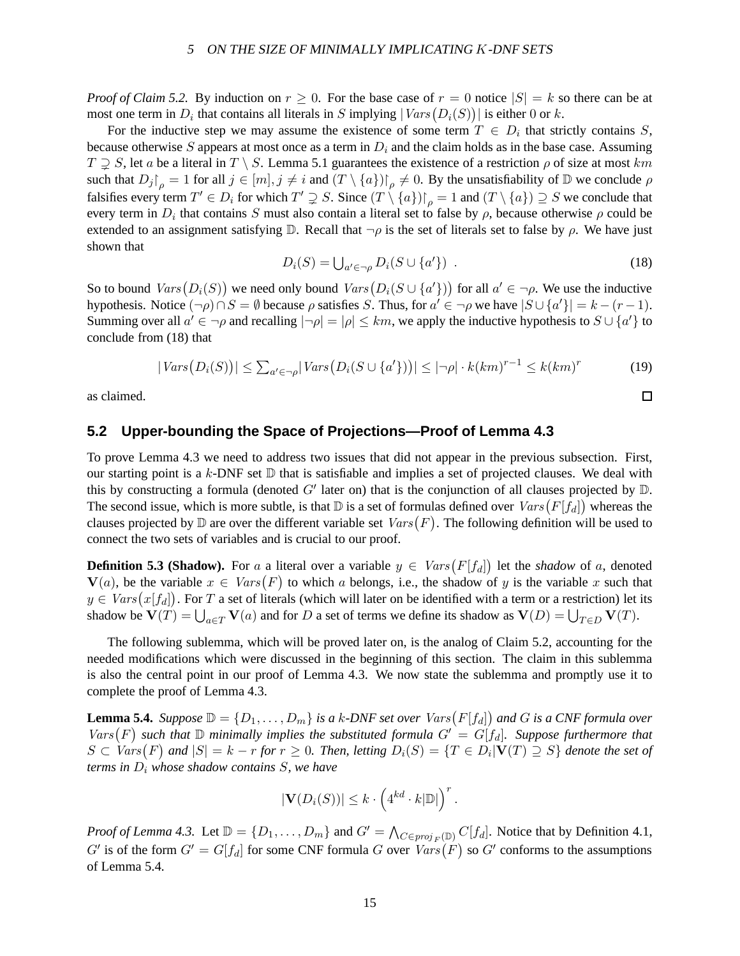*Proof of Claim 5.2.* By induction on  $r \ge 0$ . For the base case of  $r = 0$  notice  $|S| = k$  so there can be at most one term in  $D_i$  that contains all literals in S implying  $|Vars(D_i(S))|$  is either 0 or k.

For the inductive step we may assume the existence of some term  $T \in D_i$  that strictly contains S, because otherwise S appears at most once as a term in  $D_i$  and the claim holds as in the base case. Assuming  $T \supsetneq S$ , let a be a literal in  $T \setminus S$ . Lemma 5.1 guarantees the existence of a restriction  $\rho$  of size at most km such that  $D_j|_{\rho} = 1$  for all  $j \in [m], j \neq i$  and  $(T \setminus \{a\})|_{\rho} \neq 0$ . By the unsatisfiability of  $\mathbb D$  we conclude  $\rho$ falsifies every term  $T' \in D_i$  for which  $T' \supsetneq S$ . Since  $(T \setminus \{a\}) \cap_{\rho} = 1$  and  $(T \setminus \{a\}) \supseteq S$  we conclude that every term in  $D_i$  that contains S must also contain a literal set to false by  $\rho$ , because otherwise  $\rho$  could be extended to an assignment satisfying  $\mathbb D$ . Recall that  $\neg \rho$  is the set of literals set to false by  $\rho$ . We have just shown that

$$
D_i(S) = \bigcup_{a' \in \neg \rho} D_i(S \cup \{a'\}) \tag{18}
$$

 $\Box$ 

So to bound  $Vars(D_i(S))$  we need only bound  $Vars(D_i(S \cup \{a'\}))$  for all  $a' \in \neg \rho$ . We use the inductive hypothesis. Notice  $(\neg \rho) \cap S = \emptyset$  because  $\rho$  satisfies S. Thus, for  $a' \in \neg \rho$  we have  $|S \cup \{a'\}| = k - (r - 1)$ . Summing over all  $a' \in \neg \rho$  and recalling  $|\neg \rho| = |\rho| \leq km$ , we apply the inductive hypothesis to  $S \cup \{a'\}$  to conclude from (18) that

$$
|Vars(D_i(S))| \le \sum_{a' \in \neg \rho} |Vars(D_i(S \cup \{a'\}))| \le |\neg \rho| \cdot k(km)^{r-1} \le k(km)^r
$$
\n(19)

as claimed.

### **5.2 Upper-bounding the Space of Projections—Proof of Lemma 4.3**

To prove Lemma 4.3 we need to address two issues that did not appear in the previous subsection. First, our starting point is a k-DNF set  $D$  that is satisfiable and implies a set of projected clauses. We deal with this by constructing a formula (denoted  $G'$  later on) that is the conjunction of all clauses projected by  $D$ . The second issue, which is more subtle, is that  $\mathbb D$  is a set of formulas defined over  $Vars\big(F[f_d]\big)$  whereas the clauses projected by  $\mathbb D$  are over the different variable set  $Vars(F).$  The following definition will be used to connect the two sets of variables and is crucial to our proof.

**Definition 5.3 (Shadow).** For a a literal over a variable  $y \in Vars(F[f_d])$  let the *shadow* of a, denoted  $V(a)$ , be the variable  $x \in Vars(F)$  to which a belongs, i.e., the shadow of y is the variable x such that  $y \in \textit{Vars}\big(x[f_d]\big).$  For  $T$  a set of literals (which will later on be identified with a term or a restriction) let its shadow be  $\mathbf{V}(T) = \bigcup_{a \in T} \mathbf{V}(a)$  and for D a set of terms we define its shadow as  $\mathbf{V}(D) = \bigcup_{T \in D} \mathbf{V}(T)$ .

The following sublemma, which will be proved later on, is the analog of Claim 5.2, accounting for the needed modifications which were discussed in the beginning of this section. The claim in this sublemma is also the central point in our proof of Lemma 4.3. We now state the sublemma and promptly use it to complete the proof of Lemma 4.3.

**Lemma 5.4.** *Suppose*  $\mathbb{D} = \{D_1, \ldots, D_m\}$  *is a k-DNF set over*  $Vars\big(F[f_d]\big)$  *and G is a CNF formula over*  $Vars(F)$  such that  $D$  minimally implies the substituted formula  $G' = G[f_d]$ . Suppose furthermore that  $S \subset Vars(F)$  and  $|S| = k - r$  for  $r \ge 0$ . Then, letting  $D_i(S) = \{T \in D_i | V(T) \supseteq S\}$  denote the set of *terms in* D<sup>i</sup> *whose shadow contains* S*, we have*

$$
|\mathbf{V}(D_i(S))| \leq k \cdot \left(4^{kd} \cdot k|\mathbb{D}|\right)^r.
$$

*Proof of Lemma 4.3.* Let  $\mathbb{D} = \{D_1, \ldots, D_m\}$  and  $G' = \bigwedge_{C \in proj_F(\mathbb{D})} C[f_d]$ . Notice that by Definition 4.1, G' is of the form  $G' = G[f_d]$  for some CNF formula G over  $Vars(F)$  so G' conforms to the assumptions of Lemma 5.4.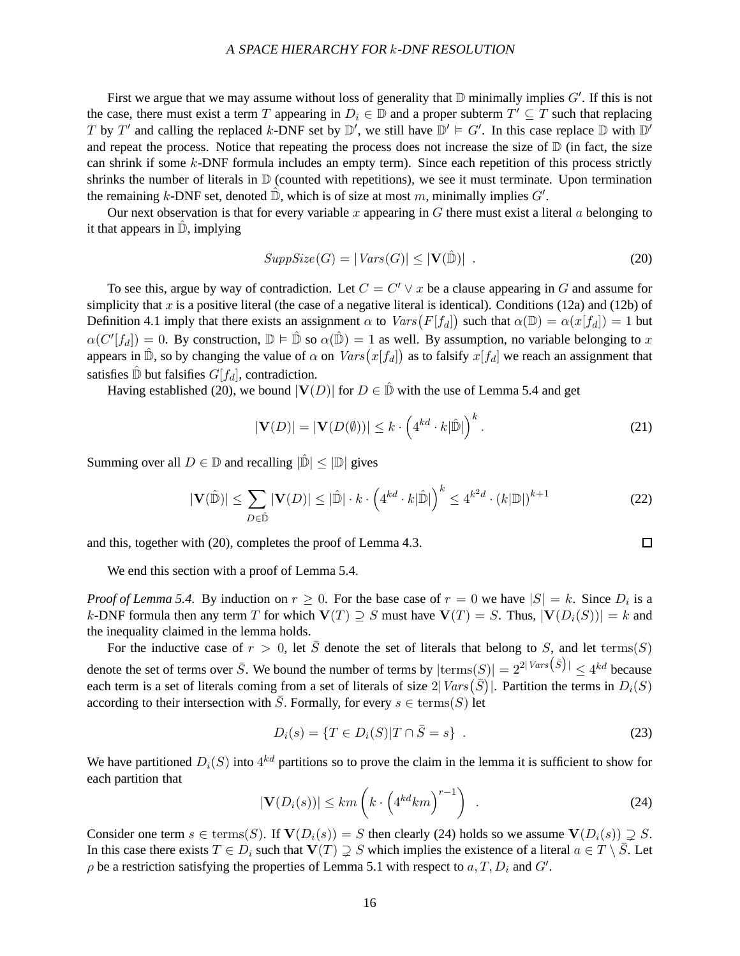First we argue that we may assume without loss of generality that  $D$  minimally implies  $G'$ . If this is not the case, there must exist a term T appearing in  $D_i \in \mathbb{D}$  and a proper subterm  $T' \subseteq T$  such that replacing T by T' and calling the replaced k-DNF set by  $\mathbb{D}'$ , we still have  $\mathbb{D}' \models G'$ . In this case replace  $\mathbb D$  with  $\mathbb{D}'$ and repeat the process. Notice that repeating the process does not increase the size of  $\mathbb D$  (in fact, the size can shrink if some  $k$ -DNF formula includes an empty term). Since each repetition of this process strictly shrinks the number of literals in  $D$  (counted with repetitions), we see it must terminate. Upon termination the remaining k-DNF set, denoted  $\hat{\mathbb{D}}$ , which is of size at most m, minimally implies  $G'$ .

Our next observation is that for every variable x appearing in  $G$  there must exist a literal  $\alpha$  belonging to it that appears in  $\mathbb{D}$ , implying

$$
SuppSize(G) = |Vars(G)| \leq |\mathbf{V}(\hat{\mathbb{D}})| \tag{20}
$$

To see this, argue by way of contradiction. Let  $C = C' \vee x$  be a clause appearing in G and assume for simplicity that  $x$  is a positive literal (the case of a negative literal is identical). Conditions (12a) and (12b) of Definition 4.1 imply that there exists an assignment  $\alpha$  to  $Vars(F[f_d])$  such that  $\alpha(\mathbb{D}) = \alpha(x[f_d]) = 1$  but  $\alpha(C'[f_d]) = 0$ . By construction,  $\mathbb{D} \models \hat{\mathbb{D}}$  so  $\alpha(\hat{\mathbb{D}}) = 1$  as well. By assumption, no variable belonging to x appears in  $\hat{\mathbb{D}}$ , so by changing the value of  $\alpha$  on  $Vars(x[f_d])$  as to falsify  $x[f_d]$  we reach an assignment that satisfies  $\hat{\mathbb{D}}$  but falsifies  $G[f_d]$ , contradiction.

Having established (20), we bound  $|V(D)|$  for  $D \in \mathbb{D}$  with the use of Lemma 5.4 and get

$$
|\mathbf{V}(D)| = |\mathbf{V}(D(\emptyset))| \le k \cdot \left(4^{kd} \cdot k|\hat{\mathbb{D}}|\right)^k.
$$
 (21)

 $\Box$ 

Summing over all  $D \in \mathbb{D}$  and recalling  $|\hat{\mathbb{D}}| < |\mathbb{D}|$  gives

$$
|\mathbf{V}(\hat{\mathbb{D}})| \le \sum_{D \in \hat{\mathbb{D}}} |\mathbf{V}(D)| \le |\hat{\mathbb{D}}| \cdot k \cdot \left(4^{kd} \cdot k|\hat{\mathbb{D}}|\right)^k \le 4^{k^2d} \cdot (k|\mathbb{D}|)^{k+1}
$$
(22)

and this, together with (20), completes the proof of Lemma 4.3.

We end this section with a proof of Lemma 5.4.

*Proof of Lemma 5.4.* By induction on  $r \ge 0$ . For the base case of  $r = 0$  we have  $|S| = k$ . Since  $D_i$  is a k-DNF formula then any term T for which  $V(T) \supseteq S$  must have  $V(T) = S$ . Thus,  $|V(D_i(S))| = k$  and the inequality claimed in the lemma holds.

For the inductive case of  $r > 0$ , let  $\overline{S}$  denote the set of literals that belong to S, and let terms(S) denote the set of terms over  $\bar{S}$ . We bound the number of terms by  $|\text{terms}(S)| = 2^{2|Vars}(\bar{S})| \le 4^{kd}$  because each term is a set of literals coming from a set of literals of size  $2|Vars(\bar{S})|$ . Partition the terms in  $D_i(S)$ according to their intersection with  $\overline{S}$ . Formally, for every  $s \in \text{terms}(S)$  let

$$
D_i(s) = \{ T \in D_i(S) | T \cap \bar{S} = s \} .
$$
 (23)

We have partitioned  $D_i(S)$  into  $4^{kd}$  partitions so to prove the claim in the lemma it is sufficient to show for each partition that

$$
|\mathbf{V}(D_i(s))| \le km \left( k \cdot \left(4^{kd}km\right)^{r-1}\right) \tag{24}
$$

Consider one term  $s \in \text{terms}(S)$ . If  $\mathbf{V}(D_i(s)) = S$  then clearly (24) holds so we assume  $\mathbf{V}(D_i(s)) \supseteq S$ . In this case there exists  $T \in D_i$  such that  $V(T) \supseteq S$  which implies the existence of a literal  $a \in T \setminus \overline{S}$ . Let  $\rho$  be a restriction satisfying the properties of Lemma 5.1 with respect to  $a, T, D_i$  and  $G'$ .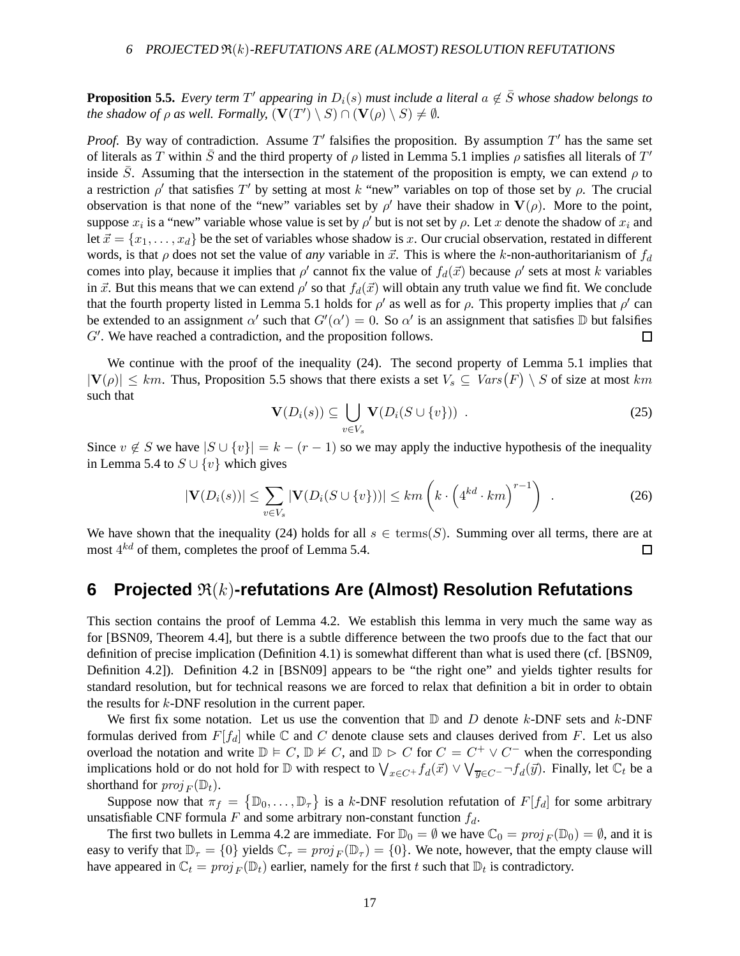**Proposition 5.5.** *Every term*  $T'$  appearing in  $D_i(s)$  must include a literal  $a \notin \overline{S}$  whose shadow belongs to *the shadow of*  $\rho$  *as well. Formally,*  $(\mathbf{V}(T') \setminus S) \cap (\mathbf{V}(\rho) \setminus S) \neq \emptyset$ *.* 

*Proof.* By way of contradiction. Assume  $T'$  falsifies the proposition. By assumption  $T'$  has the same set of literals as T within  $\bar{S}$  and the third property of  $\rho$  listed in Lemma 5.1 implies  $\rho$  satisfies all literals of T' inside  $\bar{S}$ . Assuming that the intersection in the statement of the proposition is empty, we can extend  $\rho$  to a restriction  $\rho'$  that satisfies T' by setting at most k "new" variables on top of those set by  $\rho$ . The crucial observation is that none of the "new" variables set by  $\rho'$  have their shadow in  $V(\rho)$ . More to the point, suppose  $x_i$  is a "new" variable whose value is set by  $\rho'$  but is not set by  $\rho$ . Let x denote the shadow of  $x_i$  and let  $\vec{x} = \{x_1, \ldots, x_d\}$  be the set of variables whose shadow is x. Our crucial observation, restated in different words, is that  $\rho$  does not set the value of *any* variable in  $\vec{x}$ . This is where the k-non-authoritarianism of  $f_d$ comes into play, because it implies that  $\rho'$  cannot fix the value of  $f_d(\vec{x})$  because  $\rho'$  sets at most k variables in  $\vec{x}$ . But this means that we can extend  $\rho'$  so that  $f_d(\vec{x})$  will obtain any truth value we find fit. We conclude that the fourth property listed in Lemma 5.1 holds for  $\rho'$  as well as for  $\rho$ . This property implies that  $\rho'$  can be extended to an assignment  $\alpha'$  such that  $G'(\alpha') = 0$ . So  $\alpha'$  is an assignment that satisfies  $\mathbb D$  but falsifies  $G'$ . We have reached a contradiction, and the proposition follows.  $\Box$ 

We continue with the proof of the inequality (24). The second property of Lemma 5.1 implies that  $|\mathbf{V}(\rho)| \leq km$ . Thus, Proposition 5.5 shows that there exists a set  $V_s \subseteq Vars(F) \setminus S$  of size at most km such that

$$
\mathbf{V}(D_i(s)) \subseteq \bigcup_{v \in V_s} \mathbf{V}(D_i(S \cup \{v\})) . \tag{25}
$$

Since  $v \notin S$  we have  $|S \cup \{v\}| = k - (r - 1)$  so we may apply the inductive hypothesis of the inequality in Lemma 5.4 to  $S \cup \{v\}$  which gives

$$
|\mathbf{V}(D_i(s))| \leq \sum_{v \in V_s} |\mathbf{V}(D_i(S \cup \{v\}))| \leq km \left( k \cdot \left(4^{kd} \cdot km\right)^{r-1}\right) \quad . \tag{26}
$$

We have shown that the inequality (24) holds for all  $s \in \text{terms}(S)$ . Summing over all terms, there are at most  $4^{kd}$  of them, completes the proof of Lemma 5.4.  $\Box$ 

## **6** Projected  $\Re(k)$ -refutations Are (Almost) Resolution Refutations

This section contains the proof of Lemma 4.2. We establish this lemma in very much the same way as for [BSN09, Theorem 4.4], but there is a subtle difference between the two proofs due to the fact that our definition of precise implication (Definition 4.1) is somewhat different than what is used there (cf. [BSN09, Definition 4.2]). Definition 4.2 in [BSN09] appears to be "the right one" and yields tighter results for standard resolution, but for technical reasons we are forced to relax that definition a bit in order to obtain the results for  $k$ -DNF resolution in the current paper.

We first fix some notation. Let us use the convention that  $D$  and  $D$  denote k-DNF sets and k-DNF formulas derived from  $F[f_d]$  while  $\mathbb C$  and  $C$  denote clause sets and clauses derived from  $F$ . Let us also overload the notation and write  $\mathbb{D} \models C$ ,  $\mathbb{D} \not\models C$ , and  $\mathbb{D} \models C$  for  $C = C^+ \vee C^-$  when the corresponding implications hold or do not hold for  $\mathbb D$  with respect to  $\bigvee_{x\in C^+} f_d(\vec x)\vee \bigvee_{\overline{y}\in C^-} \neg f_d(\vec y)$ . Finally, let  $\mathbb C_t$  be a shorthand for  $proj_F(\mathbb{D}_t)$ .

Suppose now that  $\pi_f = \{ \mathbb{D}_0, \ldots, \mathbb{D}_\tau \}$  is a k-DNF resolution refutation of  $F[f_d]$  for some arbitrary unsatisfiable CNF formula F and some arbitrary non-constant function  $f_d$ .

The first two bullets in Lemma 4.2 are immediate. For  $\mathbb{D}_0 = \emptyset$  we have  $\mathbb{C}_0 = proj_F(\mathbb{D}_0) = \emptyset$ , and it is easy to verify that  $\mathbb{D}_{\tau} = \{0\}$  yields  $\mathbb{C}_{\tau} = proj_F(\mathbb{D}_{\tau}) = \{0\}$ . We note, however, that the empty clause will have appeared in  $C_t = proj_F(\mathbb{D}_t)$  earlier, namely for the first t such that  $\mathbb{D}_t$  is contradictory.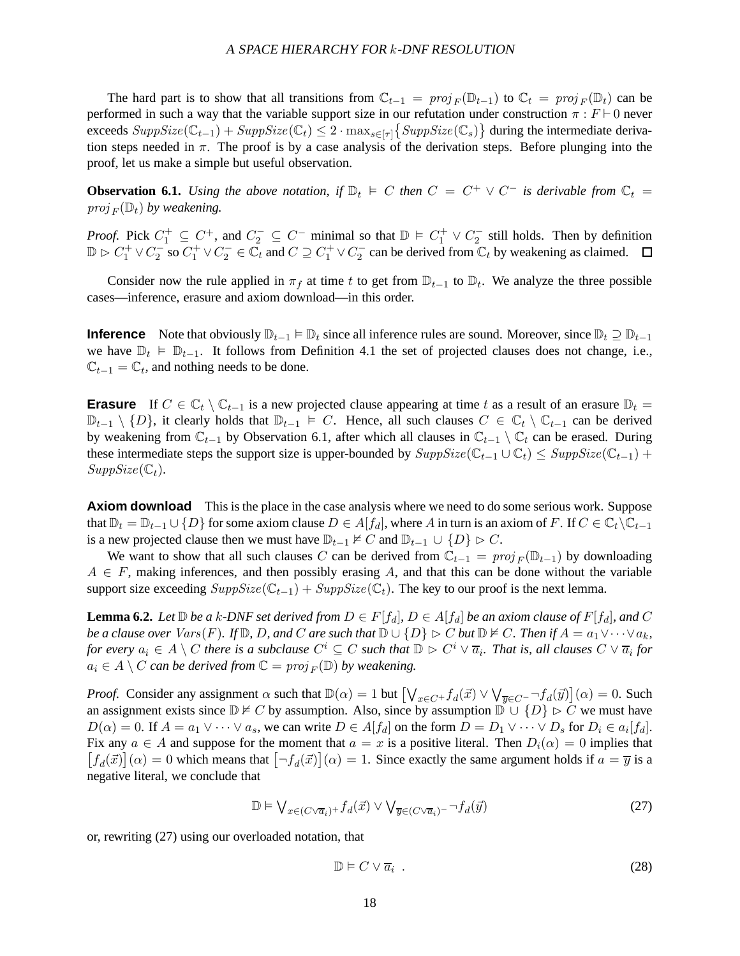The hard part is to show that all transitions from  $\mathbb{C}_{t-1} = proj_F(\mathbb{D}_{t-1})$  to  $\mathbb{C}_t = proj_F(\mathbb{D}_t)$  can be performed in such a way that the variable support size in our refutation under construction  $\pi : F \vdash 0$  never exceeds  $SuppSize(\mathbb{C}_{t-1}) + SuppSize(\mathbb{C}_t) \leq 2 \cdot max_{s \in [\tau]} \{SuppSize(\mathbb{C}_s)\}$  during the intermediate derivation steps needed in  $\pi$ . The proof is by a case analysis of the derivation steps. Before plunging into the proof, let us make a simple but useful observation.

**Observation 6.1.** Using the above notation, if  $\mathbb{D}_t$   $\models$  C then  $C = C^+ \vee C^-$  is derivable from  $\mathbb{C}_t$  =  $proj_F(\mathbb{D}_t)$  by weakening.

*Proof.* Pick  $C_1^+ \subseteq C^+$ , and  $C_2^- \subseteq C^-$  minimal so that  $D \models C_1^+ \vee C_2^-$  still holds. Then by definition  $\mathbb{D} \triangleright C_1^+ \vee C_2^-$  so  $C_1^+ \vee C_2^- \in \overline{\mathbb{C}}_t$  and  $C \supseteq C_1^+ \vee C_2^-$  can be derived from  $\overline{\mathbb{C}}_t$  by weakening as claimed.

Consider now the rule applied in  $\pi_f$  at time t to get from  $\mathbb{D}_{t-1}$  to  $\mathbb{D}_t$ . We analyze the three possible cases—inference, erasure and axiom download—in this order.

**Inference** Note that obviously  $\mathbb{D}_{t-1} \models \mathbb{D}_t$  since all inference rules are sound. Moreover, since  $\mathbb{D}_t \supseteq \mathbb{D}_{t-1}$ we have  $\mathbb{D}_t \models \mathbb{D}_{t-1}$ . It follows from Definition 4.1 the set of projected clauses does not change, i.e.,  $\mathbb{C}_{t-1} = \mathbb{C}_t$ , and nothing needs to be done.

**Erasure** If  $C \in \mathbb{C}_t \setminus \mathbb{C}_{t-1}$  is a new projected clause appearing at time t as a result of an erasure  $\mathbb{D}_t =$  $\mathbb{D}_{t-1} \setminus \{D\}$ , it clearly holds that  $\mathbb{D}_{t-1} \models C$ . Hence, all such clauses  $C \in \mathbb{C}_t \setminus \mathbb{C}_{t-1}$  can be derived by weakening from  $\mathbb{C}_{t-1}$  by Observation 6.1, after which all clauses in  $\mathbb{C}_{t-1} \setminus \mathbb{C}_t$  can be erased. During these intermediate steps the support size is upper-bounded by  $SuppSize(\mathbb{C}_{t-1} \cup \mathbb{C}_t) \leq SuppSize(\mathbb{C}_{t-1})$  +  $SuppSize(\mathbb{C}_t)$ .

**Axiom download** This is the place in the case analysis where we need to do some serious work. Suppose that  $\mathbb{D}_t = \mathbb{D}_{t-1} \cup \{D\}$  for some axiom clause  $D \in A[f_d]$ , where A in turn is an axiom of F. If  $C \in \mathbb{C}_t \setminus \mathbb{C}_{t-1}$ is a new projected clause then we must have  $\mathbb{D}_{t-1} \nvDash C$  and  $\mathbb{D}_{t-1} \cup \{D\} \triangleright C$ .

We want to show that all such clauses C can be derived from  $\mathbb{C}_{t-1} = proj_F(\mathbb{D}_{t-1})$  by downloading  $A \in F$ , making inferences, and then possibly erasing A, and that this can be done without the variable support size exceeding  $SuppSize(\mathbb{C}_{t-1}) + SuppSize(\mathbb{C}_t)$ . The key to our proof is the next lemma.

**Lemma 6.2.** *Let*  $\mathbb{D}$  *be a* k-*DNF set derived from*  $D \in F[f_d]$ *,*  $D \in A[f_d]$  *be an axiom clause of*  $F[f_d]$ *, and*  $C$ *be a clause over*  $Vars(F)$ *. If*  $\mathbb{D}$ *, D, and* C *are such that*  $\mathbb{D} \cup \{D\} \triangleright C$  *but*  $\mathbb{D} \nvDash C$ *. Then if*  $A = a_1 \vee \cdots \vee a_k$ *, for every*  $a_i \in A \setminus C$  *there is a subclause*  $C^i \subseteq C$  *such that*  $\mathbb{D} \rhd C^i \vee \overline{a}_i$ . That is, all clauses  $C \vee \overline{a}_i$  for  $a_i \in A \setminus C$  *can be derived from*  $\mathbb{C} = \text{proj}_E(\mathbb{D})$  *by weakening.* 

*Proof.* Consider any assignment  $\alpha$  such that  $\mathbb{D}(\alpha) = 1$  but  $\left[\bigvee_{x \in C^+} f_d(\vec{x}) \vee \bigvee_{\vec{y} \in C^-} \neg f_d(\vec{y})\right](\alpha) = 0$ . Such an assignment exists since  $\mathbb{D} \nvDash C$  by assumption. Also, since by assumption  $\mathbb{D} \cup \{D\} \triangleright C$  we must have  $D(\alpha) = 0$ . If  $A = a_1 \vee \cdots \vee a_s$ , we can write  $D \in A[f_d]$  on the form  $D = D_1 \vee \cdots \vee D_s$  for  $D_i \in a_i[f_d]$ . Fix any  $a \in A$  and suppose for the moment that  $a = x$  is a positive literal. Then  $D_i(\alpha) = 0$  implies that  $[f_d(\vec{x})](\alpha) = 0$  which means that  $[\neg f_d(\vec{x})](\alpha) = 1$ . Since exactly the same argument holds if  $a = \overline{y}$  is a negative literal, we conclude that

$$
\mathbb{D} \models \bigvee_{x \in (C \vee \overline{a}_i) +} f_d(\vec{x}) \vee \bigvee_{\overline{y} \in (C \vee \overline{a}_i) -} \neg f_d(\vec{y}) \tag{27}
$$

or, rewriting (27) using our overloaded notation, that

$$
\mathbb{D} \models C \vee \overline{a_i} \tag{28}
$$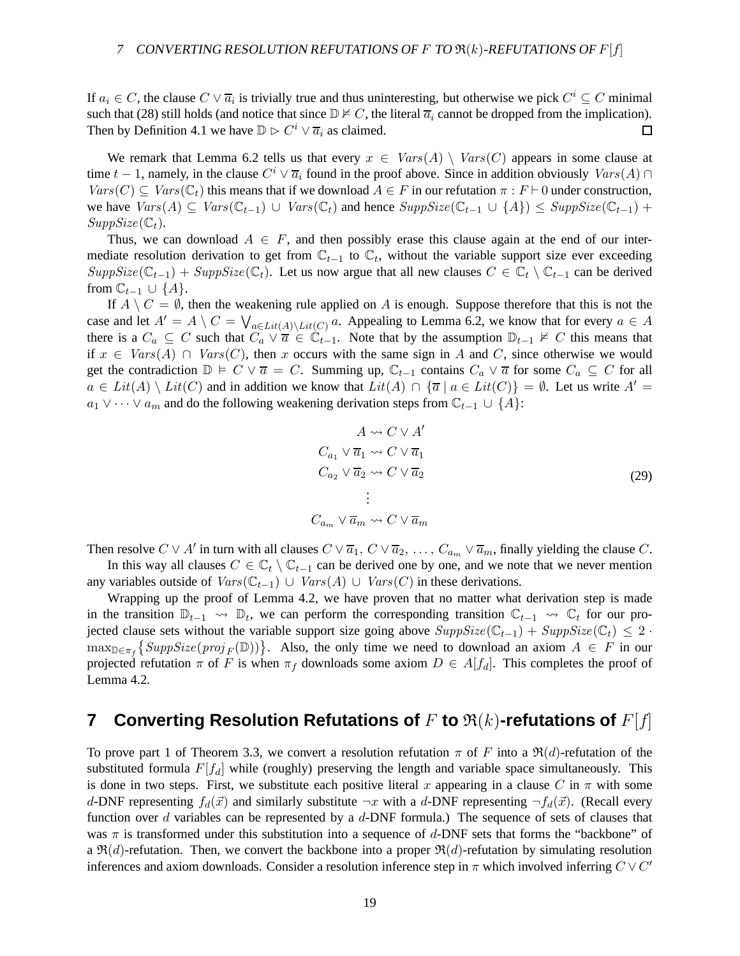If  $a_i \in C$ , the clause  $C \vee \overline{a_i}$  is trivially true and thus uninteresting, but otherwise we pick  $C^i \subseteq C$  minimal such that (28) still holds (and notice that since  $\mathbb{D} \not\vdash C$ , the literal  $\overline{a}_i$  cannot be dropped from the implication). Then by Definition 4.1 we have  $\mathbb{D} \triangleright C^i \vee \overline{a_i}$  as claimed.  $\Box$ 

We remark that Lemma 6.2 tells us that every  $x \in Var(s(A) \setminus Var(s(C))$  appears in some clause at time  $t-1$ , namely, in the clause  $C^i \vee \overline{a_i}$  found in the proof above. Since in addition obviously  $Vars(A) \cap$  $Vars(C) \subseteq Vars(\mathbb{C}_t)$  this means that if we download  $A \in F$  in our refutation  $\pi : F \vdash 0$  under construction, we have  $Vars(A) \subseteq Vars(\mathbb{C}_{t-1}) \cup Vars(\mathbb{C}_t)$  and hence  $SuppSize(\mathbb{C}_{t-1} \cup \{A\}) \leq SuppSize(\mathbb{C}_{t-1}) +$  $SuppSize(\mathbb{C}_t)$ .

Thus, we can download  $A \in F$ , and then possibly erase this clause again at the end of our intermediate resolution derivation to get from  $\mathbb{C}_{t-1}$  to  $\mathbb{C}_t$ , without the variable support size ever exceeding  $SuppSize(\mathbb{C}_{t-1}) + SuppSize(\mathbb{C}_t)$ . Let us now argue that all new clauses  $C \in \mathbb{C}_t \setminus \mathbb{C}_{t-1}$  can be derived from  $\mathbb{C}_{t-1} \cup \{A\}.$ 

If  $A \setminus C = \emptyset$ , then the weakening rule applied on A is enough. Suppose therefore that this is not the case and let  $A' = A \setminus C = \bigvee_{a \in Lit(A) \setminus Lit(C)} a$ . Appealing to Lemma 6.2, we know that for every  $a \in A$ there is a  $C_a \subseteq C$  such that  $C_a \vee \overline{a} \in \mathbb{C}_{t-1}$ . Note that by the assumption  $\mathbb{D}_{t-1} \not\models C$  this means that if  $x \in Var(s(A) \cap Var(s(C))$ , then x occurs with the same sign in A and C, since otherwise we would get the contradiction  $\mathbb{D} \models C \vee \overline{a} = C$ . Summing up,  $\mathbb{C}_{t-1}$  contains  $C_a \vee \overline{a}$  for some  $C_a \subseteq C$  for all  $a \in Lit(A) \setminus Lit(C)$  and in addition we know that  $Lit(A) \cap \{\overline{a} \mid a \in Lit(C)\} = \emptyset$ . Let us write  $A' =$  $a_1 \vee \cdots \vee a_m$  and do the following weakening derivation steps from  $\mathbb{C}_{t-1} \cup \{A\}$ :

$$
A \rightsquigarrow C \vee A'
$$
  
\n
$$
C_{a_1} \vee \overline{a}_1 \rightsquigarrow C \vee \overline{a}_1
$$
  
\n
$$
C_{a_2} \vee \overline{a}_2 \rightsquigarrow C \vee \overline{a}_2
$$
  
\n
$$
\vdots
$$
  
\n
$$
C_{a_m} \vee \overline{a}_m \rightsquigarrow C \vee \overline{a}_m
$$
  
\n(29)

Then resolve  $C \vee A'$  in turn with all clauses  $C \vee \overline{a}_1$ ,  $C \vee \overline{a}_2$ , ...,  $C_{a_m} \vee \overline{a}_m$ , finally yielding the clause  $C$ .

In this way all clauses  $C \in \mathbb{C}_t \setminus \mathbb{C}_{t-1}$  can be derived one by one, and we note that we never mention any variables outside of  $Vars(\mathbb{C}_{t-1}) \cup Vars(A) \cup Vars(C)$  in these derivations.

Wrapping up the proof of Lemma 4.2, we have proven that no matter what derivation step is made in the transition  $\mathbb{D}_{t-1} \to \mathbb{D}_t$ , we can perform the corresponding transition  $\mathbb{C}_{t-1} \to \mathbb{C}_t$  for our projected clause sets without the variable support size going above  $SuppSize(\mathbb{C}_{t-1}) + SuppSize(\mathbb{C}_t) \leq 2$ .  $\max_{\mathbb{D}\in\pi_f}\{SuppSize(proj_F(\mathbb{D}))\}$ . Also, the only time we need to download an axiom  $A \in F$  in our projected refutation  $\pi$  of F is when  $\pi_f$  downloads some axiom  $D \in A[f_d]$ . This completes the proof of Lemma 4.2.

## **7 Converting Resolution Refutations of F to**  $\Re(k)$ **-refutations of**  $F[f]$

To prove part 1 of Theorem 3.3, we convert a resolution refutation  $\pi$  of F into a  $\Re(d)$ -refutation of the substituted formula  $F[f_d]$  while (roughly) preserving the length and variable space simultaneously. This is done in two steps. First, we substitute each positive literal x appearing in a clause C in  $\pi$  with some d-DNF representing  $f_d(\vec{x})$  and similarly substitute  $\neg x$  with a d-DNF representing  $\neg f_d(\vec{x})$ . (Recall every function over d variables can be represented by a  $d$ -DNF formula.) The sequence of sets of clauses that was  $\pi$  is transformed under this substitution into a sequence of d-DNF sets that forms the "backbone" of a  $\mathfrak{R}(d)$ -refutation. Then, we convert the backbone into a proper  $\mathfrak{R}(d)$ -refutation by simulating resolution inferences and axiom downloads. Consider a resolution inference step in  $\pi$  which involved inferring  $C \vee C'$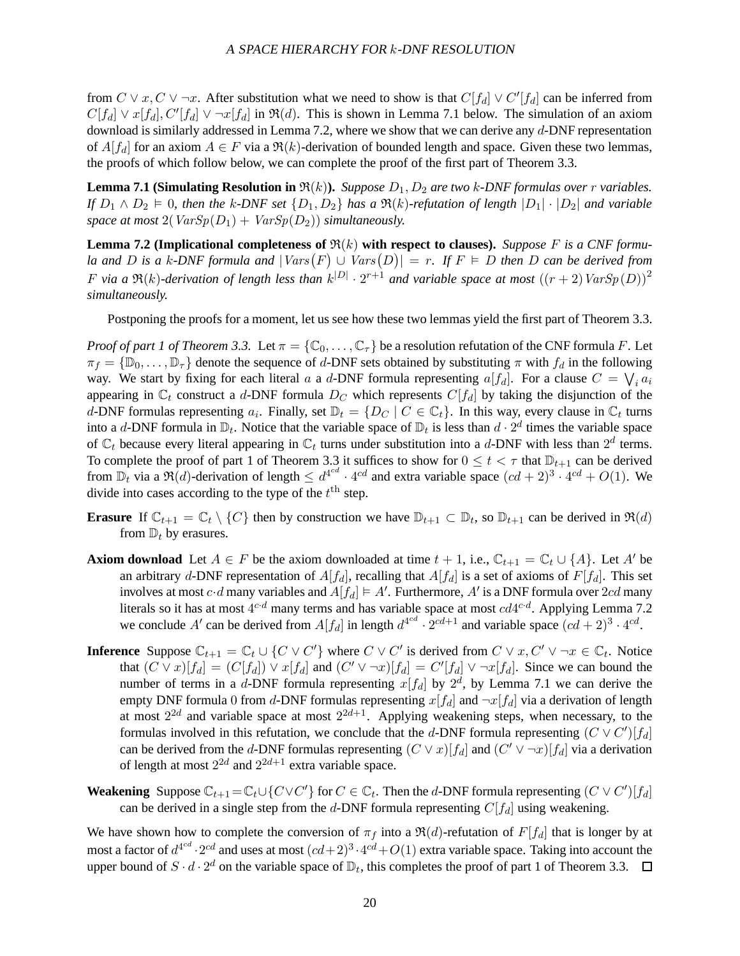from  $C \vee x, C \vee \neg x$ . After substitution what we need to show is that  $C[f_d] \vee C'[f_d]$  can be inferred from  $C[f_d] \vee x[f_d], C'[f_d] \vee \neg x[f_d]$  in  $\Re(d)$ . This is shown in Lemma 7.1 below. The simulation of an axiom download is similarly addressed in Lemma 7.2, where we show that we can derive any d-DNF representation of  $A[f_d]$  for an axiom  $A \in F$  via a  $\Re(k)$ -derivation of bounded length and space. Given these two lemmas, the proofs of which follow below, we can complete the proof of the first part of Theorem 3.3.

**Lemma 7.1 (Simulating Resolution in**  $\Re(k)$ ). *Suppose*  $D_1, D_2$  *are two* k-DNF formulas over r variables. *If*  $D_1 \wedge D_2 \models 0$ , then the k-DNF set  $\{D_1, D_2\}$  has a  $\Re(k)$ -refutation of length  $|D_1| \cdot |D_2|$  and variable *space at most*  $2(VarSp(D_1) + VarSp(D_2))$  *simultaneously.* 

**Lemma 7.2 (Implicational completeness of**  $\Re(k)$  **with respect to clauses).** *Suppose* F is a CNF formu*la and* D is a k-DNF formula and  $|Vars(F) \cup Vars(D)| = r$ . If  $F \models D$  then D can be derived from F via a  $\Re(k)$ -derivation of length less than  $k^{|D|} \cdot 2^{r+1}$  and variable space at most  $((r+2) \text{Var}Sp(D))^2$ *simultaneously.*

Postponing the proofs for a moment, let us see how these two lemmas yield the first part of Theorem 3.3.

*Proof of part 1 of Theorem 3.3.* Let  $\pi = \{ \mathbb{C}_0, \ldots, \mathbb{C}_\tau \}$  be a resolution refutation of the CNF formula F. Let  $\pi_f = \{ \mathbb{D}_0, \ldots, \mathbb{D}_\tau \}$  denote the sequence of d-DNF sets obtained by substituting  $\pi$  with  $f_d$  in the following way. We start by fixing for each literal a a d-DNF formula representing  $a[f_d]$ . For a clause  $C = \bigvee_i a_i$ appearing in  $\mathbb{C}_t$  construct a d-DNF formula  $D_C$  which represents  $C[f_d]$  by taking the disjunction of the d-DNF formulas representing  $a_i$ . Finally, set  $\mathbb{D}_t = \{D_C \mid C \in \mathbb{C}_t\}$ . In this way, every clause in  $\mathbb{C}_t$  turns into a d-DNF formula in  $\mathbb{D}_t$ . Notice that the variable space of  $\mathbb{D}_t$  is less than  $d \cdot 2^d$  times the variable space of  $\mathbb{C}_t$  because every literal appearing in  $\mathbb{C}_t$  turns under substitution into a d-DNF with less than  $2^d$  terms. To complete the proof of part 1 of Theorem 3.3 it suffices to show for  $0 \le t < \tau$  that  $\mathbb{D}_{t+1}$  can be derived from  $\mathbb{D}_t$  via a  $\Re(d)$ -derivation of length  $\leq d^{4^{cd}} \cdot 4^{cd}$  and extra variable space  $(cd+2)^3 \cdot 4^{cd} + O(1)$ . We divide into cases according to the type of the  $t<sup>th</sup>$  step.

- **Erasure** If  $\mathbb{C}_{t+1} = \mathbb{C}_t \setminus \{C\}$  then by construction we have  $\mathbb{D}_{t+1} \subset \mathbb{D}_t$ , so  $\mathbb{D}_{t+1}$  can be derived in  $\Re(d)$ from  $\mathbb{D}_t$  by erasures.
- **Axiom download** Let  $A \in F$  be the axiom downloaded at time  $t + 1$ , i.e.,  $\mathbb{C}_{t+1} = \mathbb{C}_t \cup \{A\}$ . Let A' be an arbitrary d-DNF representation of  $A[f_d]$ , recalling that  $A[f_d]$  is a set of axioms of  $F[f_d]$ . This set involves at most  $c \cdot d$  many variables and  $A[f_d] \models A'$ . Furthermore,  $A'$  is a DNF formula over  $2cd$  many literals so it has at most  $4^{c \cdot d}$  many terms and has variable space at most  $cd4^{c \cdot d}$ . Applying Lemma 7.2 we conclude A' can be derived from  $A[f_d]$  in length  $d^{4^{cd}} \cdot 2^{cd+1}$  and variable space  $(cd+2)^3 \cdot 4^{cd}$ .
- **Inference** Suppose  $\mathbb{C}_{t+1} = \mathbb{C}_t \cup \{C \vee C'\}$  where  $C \vee C'$  is derived from  $C \vee x, C' \vee \neg x \in \mathbb{C}_t$ . Notice that  $(C \vee x)[f_d] = (C[f_d]) \vee x[f_d]$  and  $(C' \vee \neg x)[f_d] = C'[f_d] \vee \neg x[f_d]$ . Since we can bound the number of terms in a d-DNF formula representing  $x[f_d]$  by  $2^d$ , by Lemma 7.1 we can derive the empty DNF formula 0 from d-DNF formulas representing  $x[f_d]$  and  $\neg x[f_d]$  via a derivation of length at most  $2^{2d}$  and variable space at most  $2^{2d+1}$ . Applying weakening steps, when necessary, to the formulas involved in this refutation, we conclude that the d-DNF formula representing  $(C \vee C')[f_d]$ can be derived from the d-DNF formulas representing  $(C \vee x)[f_d]$  and  $(C' \vee \neg x)[f_d]$  via a derivation of length at most  $2^{2d}$  and  $2^{2d+1}$  extra variable space.
- **Weakening** Suppose  $\mathbb{C}_{t+1} = \mathbb{C}_t \cup \{C \vee C'\}$  for  $C \in \mathbb{C}_t$ . Then the d-DNF formula representing  $(C \vee C')[f_d]$ can be derived in a single step from the d-DNF formula representing  $C[f_d]$  using weakening.

We have shown how to complete the conversion of  $\pi_f$  into a  $\Re(d)$ -refutation of  $F[f_d]$  that is longer by at most a factor of  $d^{4^{cd}} \cdot 2^{cd}$  and uses at most  $(cd+2)^3 \cdot 4^{cd} + O(1)$  extra variable space. Taking into account the upper bound of  $S \cdot d \cdot 2^d$  on the variable space of  $\mathbb{D}_t$ , this completes the proof of part 1 of Theorem 3.3.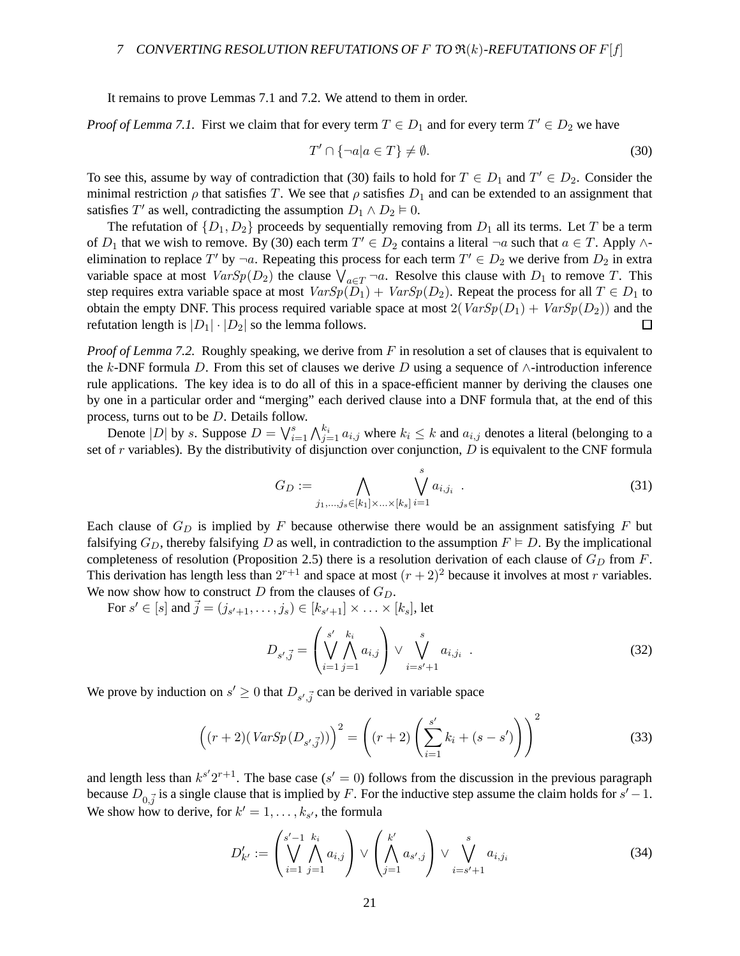It remains to prove Lemmas 7.1 and 7.2. We attend to them in order.

*Proof of Lemma 7.1.* First we claim that for every term  $T \in D_1$  and for every term  $T' \in D_2$  we have

$$
T' \cap \{\neg a | a \in T\} \neq \emptyset. \tag{30}
$$

To see this, assume by way of contradiction that (30) fails to hold for  $T \in D_1$  and  $T' \in D_2$ . Consider the minimal restriction  $\rho$  that satisfies T. We see that  $\rho$  satisfies  $D_1$  and can be extended to an assignment that satisfies T' as well, contradicting the assumption  $D_1 \wedge D_2 \models 0$ .

The refutation of  $\{D_1, D_2\}$  proceeds by sequentially removing from  $D_1$  all its terms. Let T be a term of  $D_1$  that we wish to remove. By (30) each term  $T' \in D_2$  contains a literal  $\neg a$  such that  $a \in T$ . Apply  $\wedge$ elimination to replace T' by  $\neg a$ . Repeating this process for each term  $T' \in D_2$  we derive from  $D_2$  in extra variable space at most  $VarSp(D_2)$  the clause  $\bigvee_{a \in T} \neg a$ . Resolve this clause with  $D_1$  to remove T. This step requires extra variable space at most  $VarSp(D_1) + VarSp(D_2)$ . Repeat the process for all  $T \in D_1$  to obtain the empty DNF. This process required variable space at most  $2(VarSp(D_1) + VarSp(D_2))$  and the refutation length is  $|D_1| \cdot |D_2|$  so the lemma follows.  $\Box$ 

*Proof of Lemma 7.2.* Roughly speaking, we derive from F in resolution a set of clauses that is equivalent to the k-DNF formula D. From this set of clauses we derive D using a sequence of  $\wedge$ -introduction inference rule applications. The key idea is to do all of this in a space-efficient manner by deriving the clauses one by one in a particular order and "merging" each derived clause into a DNF formula that, at the end of this process, turns out to be D. Details follow.

Denote  $|D|$  by s. Suppose  $D = \bigvee_{i=1}^{s} \bigwedge_{j=1}^{k_i} a_{i,j}$  where  $k_i \leq k$  and  $a_{i,j}$  denotes a literal (belonging to a set of  $r$  variables). By the distributivity of disjunction over conjunction,  $D$  is equivalent to the CNF formula

$$
G_D := \bigwedge_{j_1, \dots, j_s \in [k_1] \times \dots \times [k_s]} \bigvee_{i=1}^s a_{i,j_i} .
$$
 (31)

Each clause of  $G_D$  is implied by F because otherwise there would be an assignment satisfying F but falsifying  $G_D$ , thereby falsifying D as well, in contradiction to the assumption  $F \models D$ . By the implicational completeness of resolution (Proposition 2.5) there is a resolution derivation of each clause of  $G_D$  from F. This derivation has length less than  $2^{r+1}$  and space at most  $(r+2)^2$  because it involves at most r variables. We now show how to construct D from the clauses of  $G_D$ .

For  $s' \in [s]$  and  $\vec{j} = (j_{s'+1}, \dots, j_s) \in [k_{s'+1}] \times \dots \times [k_s]$ , let

$$
D_{s',\vec{j}} = \left(\bigvee_{i=1}^{s'} \bigwedge_{j=1}^{k_i} a_{i,j}\right) \vee \bigvee_{i=s'+1}^{s} a_{i,j_i} . \tag{32}
$$

We prove by induction on  $s' \geq 0$  that  $D_{s', \vec{j}}$  can be derived in variable space

$$
\left( (r+2)(VarSp(D_{s',\vec{j}})) \right)^2 = \left( (r+2) \left( \sum_{i=1}^{s'} k_i + (s - s') \right) \right)^2 \tag{33}
$$

and length less than  $k^{s'}2^{r+1}$ . The base case ( $s' = 0$ ) follows from the discussion in the previous paragraph because  $D_{0,\vec{j}}$  is a single clause that is implied by F. For the inductive step assume the claim holds for  $s' - 1$ . We show how to derive, for  $k' = 1, \ldots, k_{s'}$ , the formula

$$
D'_{k'} := \left(\bigvee_{i=1}^{s'-1} \bigwedge_{j=1}^{k_i} a_{i,j}\right) \vee \left(\bigwedge_{j=1}^{k'} a_{s',j}\right) \vee \bigvee_{i=s'+1}^{s} a_{i,j_i}
$$
(34)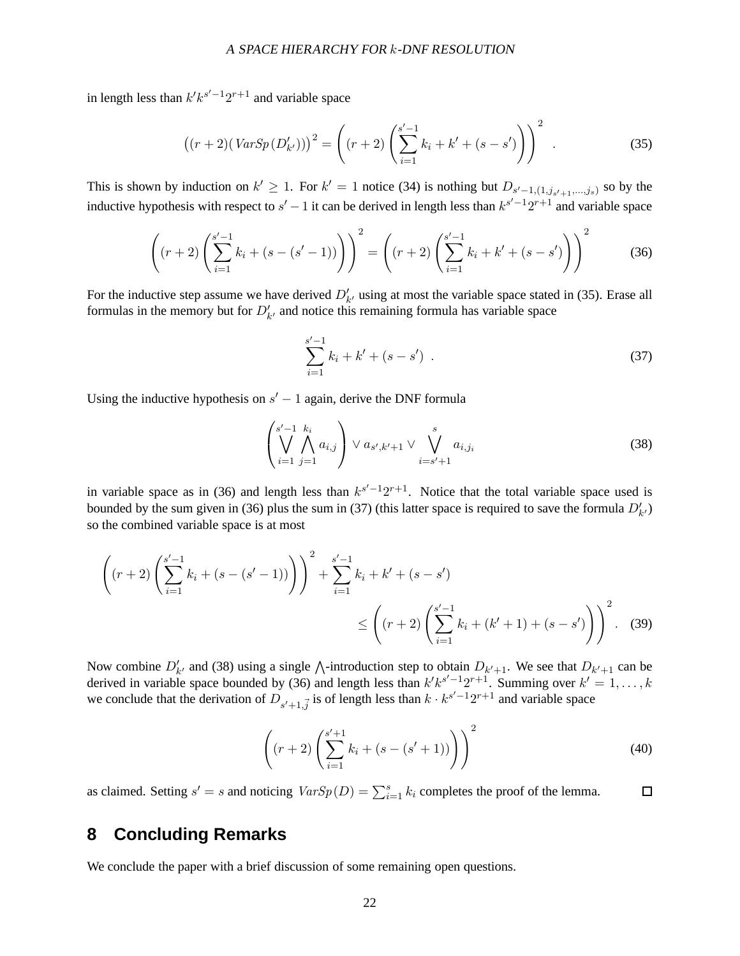in length less than  $k' k^{s'-1} 2^{r+1}$  and variable space

$$
((r+2)(VarSp(D'_{k'})))^{2} = \left((r+2)\left(\sum_{i=1}^{s'-1}k_{i} + k' + (s - s')\right)\right)^{2}.
$$
 (35)

This is shown by induction on  $k' \ge 1$ . For  $k' = 1$  notice (34) is nothing but  $D_{s'-1,(1,j_{s'+1},...,j_s)}$  so by the inductive hypothesis with respect to  $s' - 1$  it can be derived in length less than  $k^{s'-1}2^{r+1}$  and variable space

$$
\left( (r+2) \left( \sum_{i=1}^{s'-1} k_i + (s - (s'-1)) \right) \right)^2 = \left( (r+2) \left( \sum_{i=1}^{s'-1} k_i + k' + (s - s') \right) \right)^2 \tag{36}
$$

For the inductive step assume we have derived  $D'_{k'}$  using at most the variable space stated in (35). Erase all formulas in the memory but for  $D'_{k'}$  and notice this remaining formula has variable space

$$
\sum_{i=1}^{s'-1} k_i + k' + (s - s') \tag{37}
$$

Using the inductive hypothesis on  $s' - 1$  again, derive the DNF formula

$$
\left(\bigvee_{i=1}^{s'-1} \bigwedge_{j=1}^{k_i} a_{i,j}\right) \vee a_{s',k'+1} \vee \bigvee_{i=s'+1}^{s} a_{i,j_i}
$$
\n(38)

in variable space as in (36) and length less than  $k^{s'-1}2^{r+1}$ . Notice that the total variable space used is bounded by the sum given in (36) plus the sum in (37) (this latter space is required to save the formula  $D'_{k'}$ ) so the combined variable space is at most

$$
\left( (r+2) \left( \sum_{i=1}^{s'-1} k_i + (s - (s'-1)) \right) \right)^2 + \sum_{i=1}^{s'-1} k_i + k' + (s - s')
$$
  

$$
\leq \left( (r+2) \left( \sum_{i=1}^{s'-1} k_i + (k'+1) + (s - s') \right) \right)^2.
$$
 (39)

Now combine  $D'_{k'}$  and (38) using a single  $\wedge$ -introduction step to obtain  $D_{k'+1}$ . We see that  $D_{k'+1}$  can be derived in variable space bounded by (36) and length less than  $k'k^{s'-1}2^{r+1}$ . Summing over  $k'=1,\ldots,k$ we conclude that the derivation of  $D_{s'+1,\vec{j}}$  is of length less than  $k \cdot k^{s'-1} 2^{r+1}$  and variable space

$$
\left( (r+2) \left( \sum_{i=1}^{s'+1} k_i + (s - (s'+1)) \right) \right)^2 \tag{40}
$$

as claimed. Setting  $s' = s$  and noticing  $VarSp(D) = \sum_{i=1}^{s} k_i$  completes the proof of the lemma.  $\Box$ 

## **8 Concluding Remarks**

We conclude the paper with a brief discussion of some remaining open questions.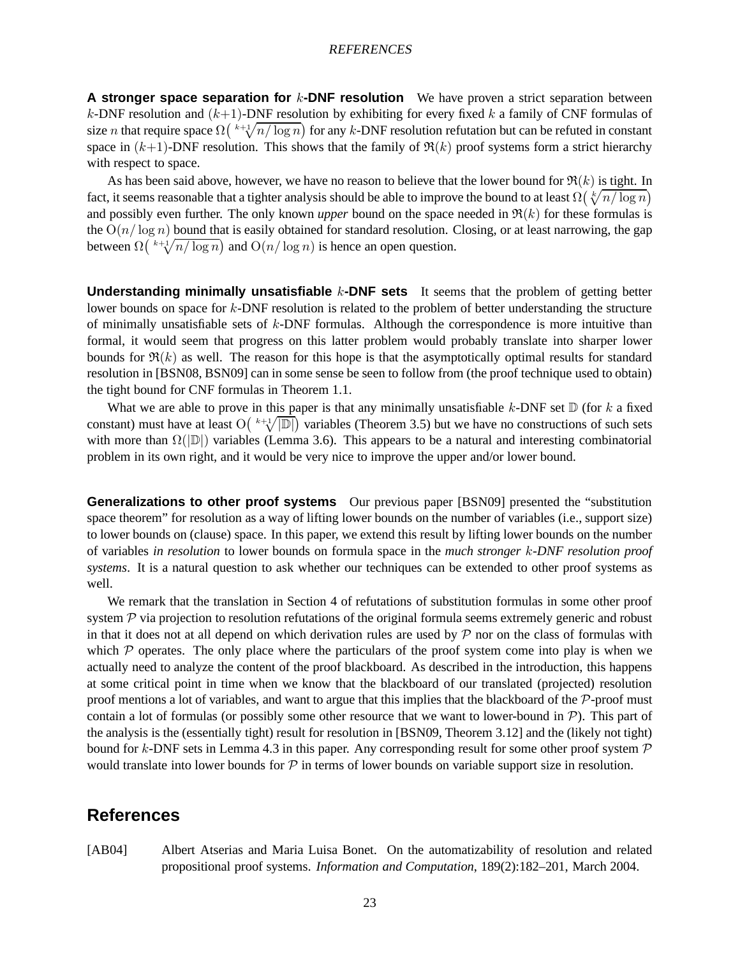#### REFERENCES

**A stronger space separation for k-DNF resolution** We have proven a strict separation between k-DNF resolution and  $(k+1)$ -DNF resolution by exhibiting for every fixed k a family of CNF formulas of size *n* that require space  $\Omega$  ( $\sqrt[k+1]{n/\log n}$ ) for any k-DNF resolution refutation but can be refuted in constant space in  $(k+1)$ -DNF resolution. This shows that the family of  $\Re(k)$  proof systems form a strict hierarchy with respect to space.

As has been said above, however, we have no reason to believe that the lower bound for  $\Re(k)$  is tight. In fact, it seems reasonable that a tighter analysis should be able to improve the bound to at least  $\Omega(\sqrt[k]{n/\log n})$ and possibly even further. The only known *upper* bound on the space needed in  $\Re(k)$  for these formulas is the  $O(n/\log n)$  bound that is easily obtained for standard resolution. Closing, or at least narrowing, the gap between  $\Omega\left(\sqrt[k+1]{n/\log n}\right)$  and  $O(n/\log n)$  is hence an open question.

**Understanding minimally unsatisfiable** k-DNF sets It seems that the problem of getting better lower bounds on space for k-DNF resolution is related to the problem of better understanding the structure of minimally unsatisfiable sets of k-DNF formulas. Although the correspondence is more intuitive than formal, it would seem that progress on this latter problem would probably translate into sharper lower bounds for  $\Re(k)$  as well. The reason for this hope is that the asymptotically optimal results for standard resolution in [BSN08, BSN09] can in some sense be seen to follow from (the proof technique used to obtain) the tight bound for CNF formulas in Theorem 1.1.

What we are able to prove in this paper is that any minimally unsatisfiable k-DNF set  $\mathbb D$  (for k a fixed constant) must have at least  $O(\sqrt[k+1]{|D|})$  variables (Theorem 3.5) but we have no constructions of such sets with more than  $\Omega(|\mathbb{D}|)$  variables (Lemma 3.6). This appears to be a natural and interesting combinatorial problem in its own right, and it would be very nice to improve the upper and/or lower bound.

**Generalizations to other proof systems** Our previous paper [BSN09] presented the "substitution space theorem" for resolution as a way of lifting lower bounds on the number of variables (i.e., support size) to lower bounds on (clause) space. In this paper, we extend this result by lifting lower bounds on the number of variables *in resolution* to lower bounds on formula space in the *much stronger* k*-DNF resolution proof systems*. It is a natural question to ask whether our techniques can be extended to other proof systems as well.

We remark that the translation in Section 4 of refutations of substitution formulas in some other proof system  $P$  via projection to resolution refutations of the original formula seems extremely generic and robust in that it does not at all depend on which derivation rules are used by  $P$  nor on the class of formulas with which  $P$  operates. The only place where the particulars of the proof system come into play is when we actually need to analyze the content of the proof blackboard. As described in the introduction, this happens at some critical point in time when we know that the blackboard of our translated (projected) resolution proof mentions a lot of variables, and want to argue that this implies that the blackboard of the  $P$ -proof must contain a lot of formulas (or possibly some other resource that we want to lower-bound in  $\mathcal{P}$ ). This part of the analysis is the (essentially tight) result for resolution in [BSN09, Theorem 3.12] and the (likely not tight) bound for k-DNF sets in Lemma 4.3 in this paper. Any corresponding result for some other proof system  $\mathcal P$ would translate into lower bounds for  $P$  in terms of lower bounds on variable support size in resolution.

## **References**

[AB04] Albert Atserias and Maria Luisa Bonet. On the automatizability of resolution and related propositional proof systems. *Information and Computation*, 189(2):182–201, March 2004.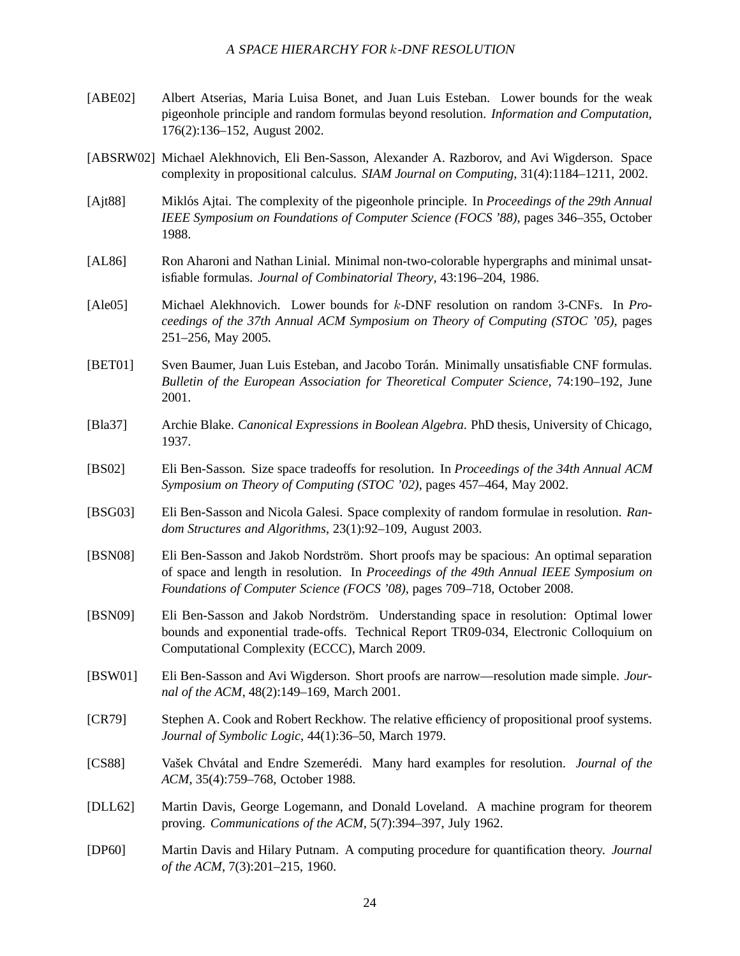### <sup>A</sup> SPACE HIERARCHY FOR k-DNF RESOLUTION

- [ABE02] Albert Atserias, Maria Luisa Bonet, and Juan Luis Esteban. Lower bounds for the weak pigeonhole principle and random formulas beyond resolution. *Information and Computation*, 176(2):136–152, August 2002.
- [ABSRW02] Michael Alekhnovich, Eli Ben-Sasson, Alexander A. Razborov, and Avi Wigderson. Space complexity in propositional calculus. *SIAM Journal on Computing*, 31(4):1184–1211, 2002.
- [Ajt88] Mikl´os Ajtai. The complexity of the pigeonhole principle. In *Proceedings of the 29th Annual IEEE Symposium on Foundations of Computer Science (FOCS '88)*, pages 346–355, October 1988.
- [AL86] Ron Aharoni and Nathan Linial. Minimal non-two-colorable hypergraphs and minimal unsatisfiable formulas. *Journal of Combinatorial Theory*, 43:196–204, 1986.
- [Ale05] Michael Alekhnovich. Lower bounds for k-DNF resolution on random 3-CNFs. In *Proceedings of the 37th Annual ACM Symposium on Theory of Computing (STOC '05)*, pages 251–256, May 2005.
- [BET01] Sven Baumer, Juan Luis Esteban, and Jacobo Torán. Minimally unsatisfiable CNF formulas. *Bulletin of the European Association for Theoretical Computer Science*, 74:190–192, June 2001.
- [Bla37] Archie Blake. *Canonical Expressions in Boolean Algebra*. PhD thesis, University of Chicago, 1937.
- [BS02] Eli Ben-Sasson. Size space tradeoffs for resolution. In *Proceedings of the 34th Annual ACM Symposium on Theory of Computing (STOC '02)*, pages 457–464, May 2002.
- [BSG03] Eli Ben-Sasson and Nicola Galesi. Space complexity of random formulae in resolution. *Random Structures and Algorithms*, 23(1):92–109, August 2003.
- [BSN08] Eli Ben-Sasson and Jakob Nordström. Short proofs may be spacious: An optimal separation of space and length in resolution. In *Proceedings of the 49th Annual IEEE Symposium on Foundations of Computer Science (FOCS '08)*, pages 709–718, October 2008.
- [BSN09] Eli Ben-Sasson and Jakob Nordström. Understanding space in resolution: Optimal lower bounds and exponential trade-offs. Technical Report TR09-034, Electronic Colloquium on Computational Complexity (ECCC), March 2009.
- [BSW01] Eli Ben-Sasson and Avi Wigderson. Short proofs are narrow—resolution made simple. *Journal of the ACM*, 48(2):149–169, March 2001.
- [CR79] Stephen A. Cook and Robert Reckhow. The relative efficiency of propositional proof systems. *Journal of Symbolic Logic*, 44(1):36–50, March 1979.
- [CS88] Vašek Chvátal and Endre Szemerédi. Many hard examples for resolution. *Journal of the ACM*, 35(4):759–768, October 1988.
- [DLL62] Martin Davis, George Logemann, and Donald Loveland. A machine program for theorem proving. *Communications of the ACM*, 5(7):394–397, July 1962.
- [DP60] Martin Davis and Hilary Putnam. A computing procedure for quantification theory. *Journal of the ACM*, 7(3):201–215, 1960.